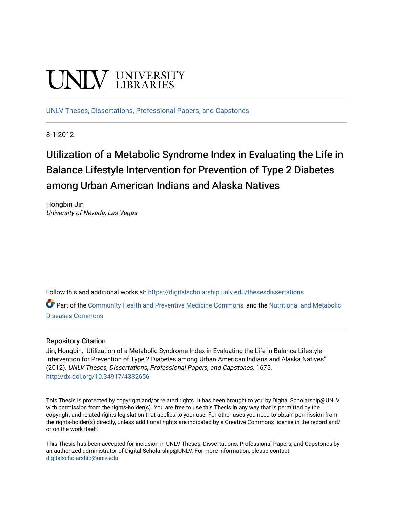# **UNIVERSITY**

[UNLV Theses, Dissertations, Professional Papers, and Capstones](https://digitalscholarship.unlv.edu/thesesdissertations)

8-1-2012

# Utilization of a Metabolic Syndrome Index in Evaluating the Life in Balance Lifestyle Intervention for Prevention of Type 2 Diabetes among Urban American Indians and Alaska Natives

Hongbin Jin University of Nevada, Las Vegas

Follow this and additional works at: [https://digitalscholarship.unlv.edu/thesesdissertations](https://digitalscholarship.unlv.edu/thesesdissertations?utm_source=digitalscholarship.unlv.edu%2Fthesesdissertations%2F1675&utm_medium=PDF&utm_campaign=PDFCoverPages)

Part of the [Community Health and Preventive Medicine Commons](http://network.bepress.com/hgg/discipline/744?utm_source=digitalscholarship.unlv.edu%2Fthesesdissertations%2F1675&utm_medium=PDF&utm_campaign=PDFCoverPages), and the Nutritional and Metabolic [Diseases Commons](http://network.bepress.com/hgg/discipline/1003?utm_source=digitalscholarship.unlv.edu%2Fthesesdissertations%2F1675&utm_medium=PDF&utm_campaign=PDFCoverPages) 

#### Repository Citation

Jin, Hongbin, "Utilization of a Metabolic Syndrome Index in Evaluating the Life in Balance Lifestyle Intervention for Prevention of Type 2 Diabetes among Urban American Indians and Alaska Natives" (2012). UNLV Theses, Dissertations, Professional Papers, and Capstones. 1675. <http://dx.doi.org/10.34917/4332656>

This Thesis is protected by copyright and/or related rights. It has been brought to you by Digital Scholarship@UNLV with permission from the rights-holder(s). You are free to use this Thesis in any way that is permitted by the copyright and related rights legislation that applies to your use. For other uses you need to obtain permission from the rights-holder(s) directly, unless additional rights are indicated by a Creative Commons license in the record and/ or on the work itself.

This Thesis has been accepted for inclusion in UNLV Theses, Dissertations, Professional Papers, and Capstones by an authorized administrator of Digital Scholarship@UNLV. For more information, please contact [digitalscholarship@unlv.edu](mailto:digitalscholarship@unlv.edu).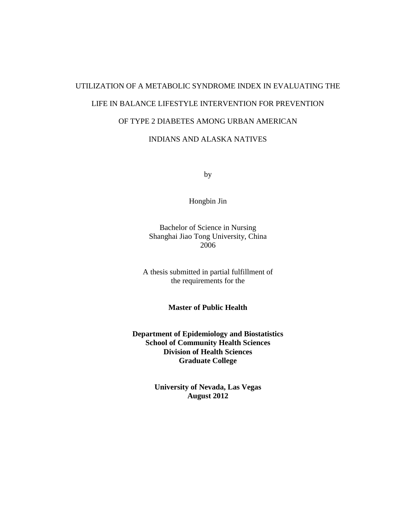# UTILIZATION OF A METABOLIC SYNDROME INDEX IN EVALUATING THE LIFE IN BALANCE LIFESTYLE INTERVENTION FOR PREVENTION OF TYPE 2 DIABETES AMONG URBAN AMERICAN

# INDIANS AND ALASKA NATIVES

by

Hongbin Jin

Bachelor of Science in Nursing Shanghai Jiao Tong University, China 2006

A thesis submitted in partial fulfillment of the requirements for the

**Master of Public Health**

**Department of Epidemiology and Biostatistics School of Community Health Sciences Division of Health Sciences Graduate College**

> **University of Nevada, Las Vegas August 2012**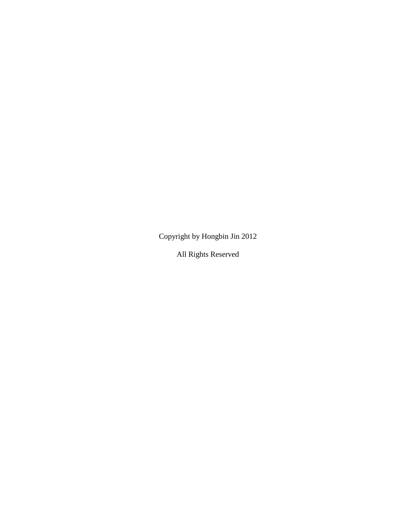Copyright by Hongbin Jin 2012

All Rights Reserved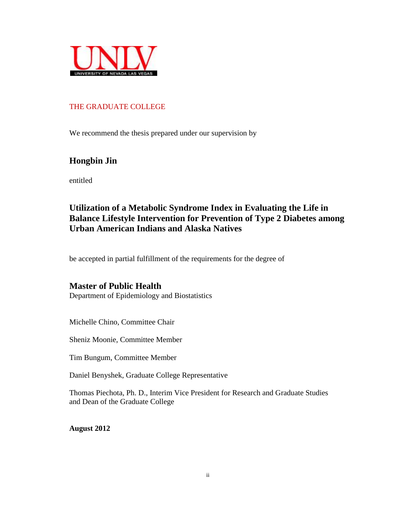

### THE GRADUATE COLLEGE

We recommend the thesis prepared under our supervision by

# **Hongbin Jin**

entitled

# **Utilization of a Metabolic Syndrome Index in Evaluating the Life in Balance Lifestyle Intervention for Prevention of Type 2 Diabetes among Urban American Indians and Alaska Natives**

be accepted in partial fulfillment of the requirements for the degree of

# **Master of Public Health**

Department of Epidemiology and Biostatistics

Michelle Chino, Committee Chair

Sheniz Moonie, Committee Member

Tim Bungum, Committee Member

Daniel Benyshek, Graduate College Representative

Thomas Piechota, Ph. D., Interim Vice President for Research and Graduate Studies and Dean of the Graduate College

**August 2012**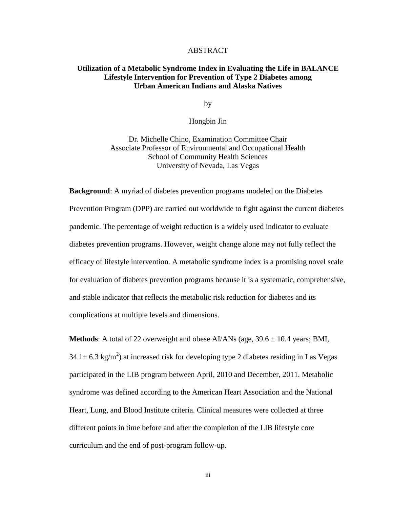#### ABSTRACT

#### **Utilization of a Metabolic Syndrome Index in Evaluating the Life in BALANCE Lifestyle Intervention for Prevention of Type 2 Diabetes among Urban American Indians and Alaska Natives**

by

Hongbin Jin

Dr. Michelle Chino, Examination Committee Chair Associate Professor of Environmental and Occupational Health School of Community Health Sciences University of Nevada, Las Vegas

**Background**: A myriad of diabetes prevention programs modeled on the Diabetes Prevention Program (DPP) are carried out worldwide to fight against the current diabetes pandemic. The percentage of weight reduction is a widely used indicator to evaluate diabetes prevention programs. However, weight change alone may not fully reflect the efficacy of lifestyle intervention. A metabolic syndrome index is a promising novel scale for evaluation of diabetes prevention programs because it is a systematic, comprehensive, and stable indicator that reflects the metabolic risk reduction for diabetes and its complications at multiple levels and dimensions.

**Methods**: A total of 22 overweight and obese  $AI/ANS$  (age,  $39.6 \pm 10.4$  years; BMI,  $34.1 \pm 6.3$  kg/m<sup>2</sup>) at increased risk for developing type 2 diabetes residing in Las Vegas participated in the LIB program between April, 2010 and December, 2011. Metabolic syndrome was defined according to the American Heart Association and the National Heart, Lung, and Blood Institute criteria. Clinical measures were collected at three different points in time before and after the completion of the LIB lifestyle core curriculum and the end of post-program follow-up.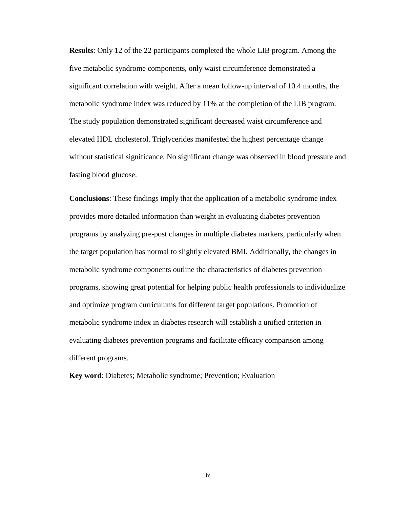**Results**: Only 12 of the 22 participants completed the whole LIB program. Among the five metabolic syndrome components, only waist circumference demonstrated a significant correlation with weight. After a mean follow-up interval of 10.4 months, the metabolic syndrome index was reduced by 11% at the completion of the LIB program. The study population demonstrated significant decreased waist circumference and elevated HDL cholesterol. Triglycerides manifested the highest percentage change without statistical significance. No significant change was observed in blood pressure and fasting blood glucose.

**Conclusions**: These findings imply that the application of a metabolic syndrome index provides more detailed information than weight in evaluating diabetes prevention programs by analyzing pre-post changes in multiple diabetes markers, particularly when the target population has normal to slightly elevated BMI. Additionally, the changes in metabolic syndrome components outline the characteristics of diabetes prevention programs, showing great potential for helping public health professionals to individualize and optimize program curriculums for different target populations. Promotion of metabolic syndrome index in diabetes research will establish a unified criterion in evaluating diabetes prevention programs and facilitate efficacy comparison among different programs.

**Key word**: Diabetes; Metabolic syndrome; Prevention; Evaluation

iv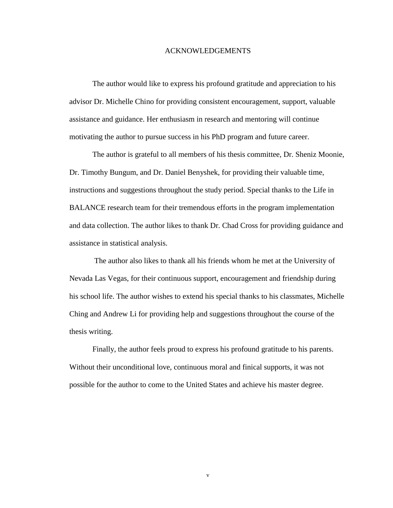#### ACKNOWLEDGEMENTS

The author would like to express his profound gratitude and appreciation to his advisor Dr. Michelle Chino for providing consistent encouragement, support, valuable assistance and guidance. Her enthusiasm in research and mentoring will continue motivating the author to pursue success in his PhD program and future career.

The author is grateful to all members of his thesis committee, Dr. Sheniz Moonie, Dr. Timothy Bungum, and Dr. Daniel Benyshek, for providing their valuable time, instructions and suggestions throughout the study period. Special thanks to the Life in BALANCE research team for their tremendous efforts in the program implementation and data collection. The author likes to thank Dr. Chad Cross for providing guidance and assistance in statistical analysis.

The author also likes to thank all his friends whom he met at the University of Nevada Las Vegas, for their continuous support, encouragement and friendship during his school life. The author wishes to extend his special thanks to his classmates, Michelle Ching and Andrew Li for providing help and suggestions throughout the course of the thesis writing.

Finally, the author feels proud to express his profound gratitude to his parents. Without their unconditional love, continuous moral and finical supports, it was not possible for the author to come to the United States and achieve his master degree.

v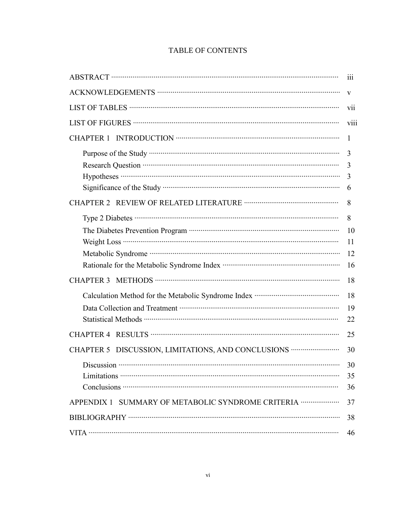| <b>TABLE OF CONTENTS</b> |
|--------------------------|
|--------------------------|

|                                                                                   | 111          |
|-----------------------------------------------------------------------------------|--------------|
|                                                                                   | $\mathbf{V}$ |
|                                                                                   | vii          |
|                                                                                   | viii         |
| <b>CHAPTER 1</b>                                                                  | 1            |
|                                                                                   | 3            |
|                                                                                   | 3            |
|                                                                                   | 3            |
|                                                                                   | 6            |
|                                                                                   | 8            |
|                                                                                   | 8            |
|                                                                                   | 10           |
|                                                                                   | 11           |
|                                                                                   | 12           |
|                                                                                   | 16           |
|                                                                                   | 18           |
| Calculation Method for the Metabolic Syndrome Index …………………………………………………………………………… | 18           |
|                                                                                   | 19           |
|                                                                                   | 22           |
|                                                                                   | 25           |
| CHAPTER 5 DISCUSSION, LIMITATIONS, AND CONCLUSIONS ·····························  | 30           |
|                                                                                   | 30           |
|                                                                                   | 35           |
|                                                                                   | 36           |
| APPENDIX 1 SUMMARY OF METABOLIC SYNDROME CRITERIA ·····················           | 37           |
|                                                                                   | 38           |
|                                                                                   | 46           |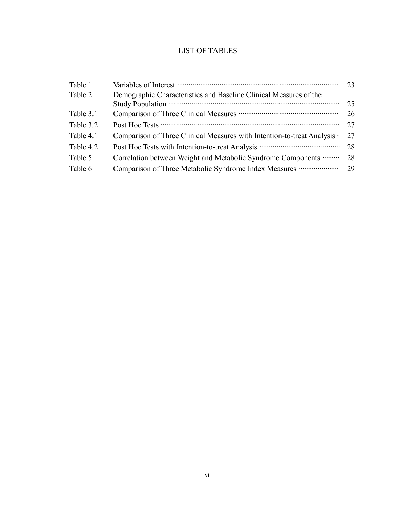# LIST OF TABLES

| Table 2<br>Demographic Characteristics and Baseline Clinical Measures of the<br>Table 3.1<br>Table 3.2<br>Table 4.1<br>Comparison of Three Clinical Measures with Intention-to-treat Analysis ·<br>Table 4.2<br>Table 5<br>Correlation between Weight and Metabolic Syndrome Components<br>Table 6<br>Comparison of Three Metabolic Syndrome Index Measures | Table 1 | 23   |
|-------------------------------------------------------------------------------------------------------------------------------------------------------------------------------------------------------------------------------------------------------------------------------------------------------------------------------------------------------------|---------|------|
|                                                                                                                                                                                                                                                                                                                                                             |         |      |
|                                                                                                                                                                                                                                                                                                                                                             |         | 25   |
|                                                                                                                                                                                                                                                                                                                                                             |         | 26   |
|                                                                                                                                                                                                                                                                                                                                                             |         | 27   |
|                                                                                                                                                                                                                                                                                                                                                             |         | 27   |
|                                                                                                                                                                                                                                                                                                                                                             |         | - 28 |
|                                                                                                                                                                                                                                                                                                                                                             |         | 28   |
|                                                                                                                                                                                                                                                                                                                                                             |         | 29   |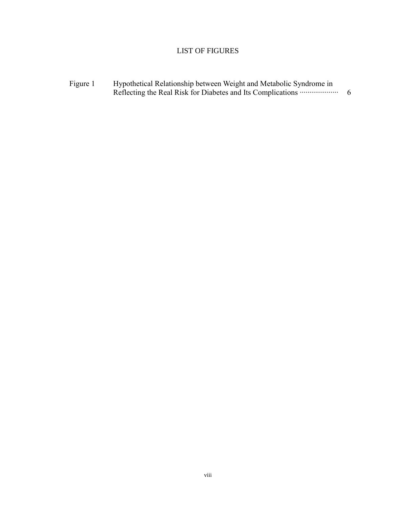# LIST OF FIGURES

Figure 1 Hypothetical Relationship between Weight and Metabolic Syndrome in Reflecting the Real Risk for Diabetes and Its Complications ⋯⋯⋯⋯⋯⋯⋯⋯⋯⋯⋯⋯⋯⋯⋯⋯⋯⋯⋯⋯⋯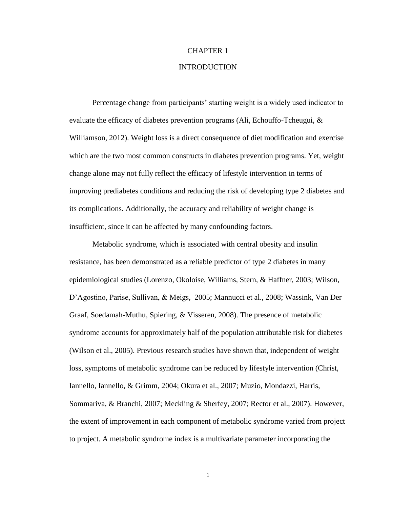# CHAPTER 1

### INTRODUCTION

Percentage change from participants' starting weight is a widely used indicator to evaluate the efficacy of diabetes prevention programs (Ali, Echouffo-Tcheugui,  $\&$ Williamson, 2012). Weight loss is a direct consequence of diet modification and exercise which are the two most common constructs in diabetes prevention programs. Yet, weight change alone may not fully reflect the efficacy of lifestyle intervention in terms of improving prediabetes conditions and reducing the risk of developing type 2 diabetes and its complications. Additionally, the accuracy and reliability of weight change is insufficient, since it can be affected by many confounding factors.

Metabolic syndrome, which is associated with central obesity and insulin resistance, has been demonstrated as a reliable predictor of type 2 diabetes in many epidemiological studies (Lorenzo, Okoloise, Williams, Stern, & Haffner, 2003; Wilson, D'Agostino, Parise, Sullivan, & Meigs, 2005; Mannucci et al., 2008; Wassink, Van Der Graaf, Soedamah-Muthu, Spiering, & Visseren, 2008). The presence of metabolic syndrome accounts for approximately half of the population attributable risk for diabetes (Wilson et al., 2005). Previous research studies have shown that, independent of weight loss, symptoms of metabolic syndrome can be reduced by lifestyle intervention (Christ, Iannello, Iannello, & Grimm, 2004; Okura et al., 2007; Muzio, Mondazzi, Harris, Sommariva, & Branchi, 2007; Meckling & Sherfey, 2007; Rector et al., 2007). However, the extent of improvement in each component of metabolic syndrome varied from project to project. A metabolic syndrome index is a multivariate parameter incorporating the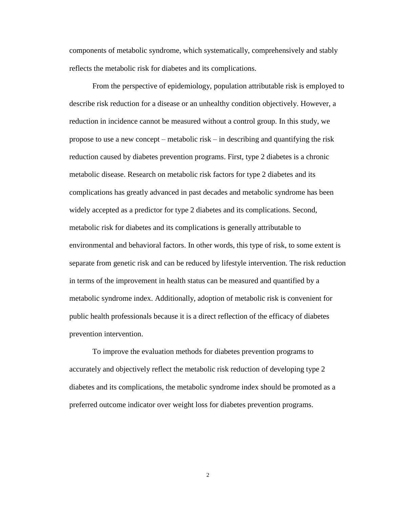components of metabolic syndrome, which systematically, comprehensively and stably reflects the metabolic risk for diabetes and its complications.

From the perspective of epidemiology, population attributable risk is employed to describe risk reduction for a disease or an unhealthy condition objectively. However, a reduction in incidence cannot be measured without a control group. In this study, we propose to use a new concept – metabolic risk – in describing and quantifying the risk reduction caused by diabetes prevention programs. First, type 2 diabetes is a chronic metabolic disease. Research on metabolic risk factors for type 2 diabetes and its complications has greatly advanced in past decades and metabolic syndrome has been widely accepted as a predictor for type 2 diabetes and its complications. Second, metabolic risk for diabetes and its complications is generally attributable to environmental and behavioral factors. In other words, this type of risk, to some extent is separate from genetic risk and can be reduced by lifestyle intervention. The risk reduction in terms of the improvement in health status can be measured and quantified by a metabolic syndrome index. Additionally, adoption of metabolic risk is convenient for public health professionals because it is a direct reflection of the efficacy of diabetes prevention intervention.

To improve the evaluation methods for diabetes prevention programs to accurately and objectively reflect the metabolic risk reduction of developing type 2 diabetes and its complications, the metabolic syndrome index should be promoted as a preferred outcome indicator over weight loss for diabetes prevention programs.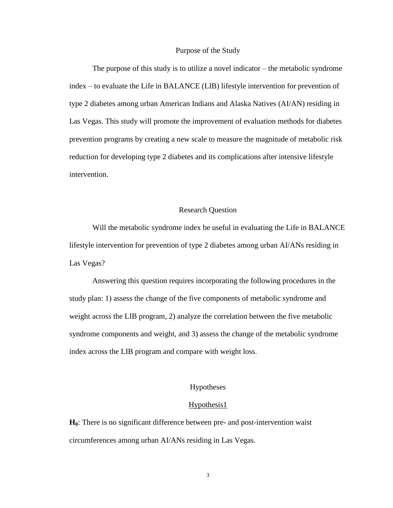#### Purpose of the Study

The purpose of this study is to utilize a novel indicator – the metabolic syndrome index – to evaluate the Life in BALANCE (LIB) lifestyle intervention for prevention of type 2 diabetes among urban American Indians and Alaska Natives (AI/AN) residing in Las Vegas. This study will promote the improvement of evaluation methods for diabetes prevention programs by creating a new scale to measure the magnitude of metabolic risk reduction for developing type 2 diabetes and its complications after intensive lifestyle intervention.

#### Research Question

Will the metabolic syndrome index be useful in evaluating the Life in BALANCE lifestyle intervention for prevention of type 2 diabetes among urban AI/ANs residing in Las Vegas?

Answering this question requires incorporating the following procedures in the study plan: 1) assess the change of the five components of metabolic syndrome and weight across the LIB program, 2) analyze the correlation between the five metabolic syndrome components and weight, and 3) assess the change of the metabolic syndrome index across the LIB program and compare with weight loss.

#### Hypotheses

#### Hypothesis1

**H0**: There is no [significant](http://www.experiment-resources.com/significance-test-2.html) difference between pre- and post-intervention waist circumferences among urban AI/ANs residing in Las Vegas.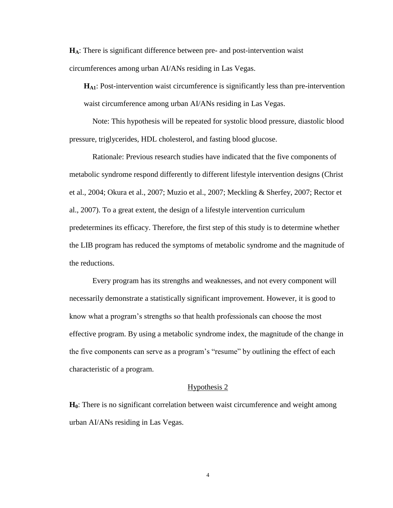**HA**: There is [significant](http://www.experiment-resources.com/significance-test-2.html) difference between pre- and post-intervention waist circumferences among urban AI/ANs residing in Las Vegas.

**HA1**: Post-intervention waist circumference is significantly less than pre-intervention waist circumference among urban AI/ANs residing in Las Vegas.

Note: This hypothesis will be repeated for systolic blood pressure, diastolic blood pressure, triglycerides, HDL cholesterol, and fasting blood glucose.

Rationale: Previous research studies have indicated that the five components of metabolic syndrome respond differently to different lifestyle intervention designs (Christ et al., 2004; Okura et al., 2007; Muzio et al., 2007; Meckling & Sherfey, 2007; Rector et al., 2007). To a great extent, the design of a lifestyle intervention curriculum predetermines its efficacy. Therefore, the first step of this study is to determine whether the LIB program has reduced the symptoms of metabolic syndrome and the magnitude of the reductions.

Every program has its strengths and weaknesses, and not every component will necessarily demonstrate a statistically significant improvement. However, it is good to know what a program's strengths so that health professionals can choose the most effective program. By using a metabolic syndrome index, the magnitude of the change in the five components can serve as a program's "resume" by outlining the effect of each characteristic of a program.

#### Hypothesis 2

**H0**: There is no significant correlation between waist circumference and weight among urban AI/ANs residing in Las Vegas.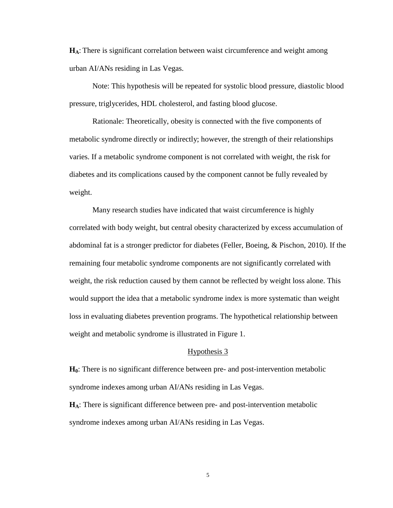**HA**: There is significant correlation between waist circumference and weight among urban AI/ANs residing in Las Vegas.

Note: This hypothesis will be repeated for systolic blood pressure, diastolic blood pressure, triglycerides, HDL cholesterol, and fasting blood glucose.

Rationale: Theoretically, obesity is connected with the five components of metabolic syndrome directly or indirectly; however, the strength of their relationships varies. If a metabolic syndrome component is not correlated with weight, the risk for diabetes and its complications caused by the component cannot be fully revealed by weight.

Many research studies have indicated that waist circumference is highly correlated with body weight, but central obesity characterized by excess accumulation of abdominal fat is a stronger predictor for diabetes (Feller, Boeing, & Pischon, 2010). If the remaining four metabolic syndrome components are not significantly correlated with weight, the risk reduction caused by them cannot be reflected by weight loss alone. This would support the idea that a metabolic syndrome index is more systematic than weight loss in evaluating diabetes prevention programs. The hypothetical relationship between weight and metabolic syndrome is illustrated in Figure 1.

#### Hypothesis 3

**H0**: There is no [significant](http://www.experiment-resources.com/significance-test-2.html) difference between pre- and post-intervention metabolic syndrome indexes among urban AI/ANs residing in Las Vegas.

**HA**: There is [significant](http://www.experiment-resources.com/significance-test-2.html) difference between pre- and post-intervention metabolic syndrome indexes among urban AI/ANs residing in Las Vegas.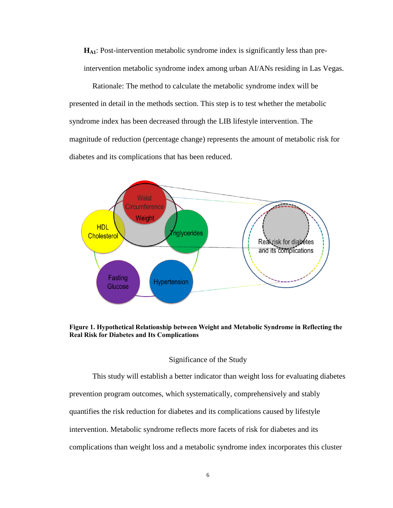**HA1**: Post-intervention metabolic syndrome index is significantly less than preintervention metabolic syndrome index among urban AI/ANs residing in Las Vegas.

Rationale: The method to calculate the metabolic syndrome index will be presented in detail in the methods section. This step is to test whether the metabolic syndrome index has been decreased through the LIB lifestyle intervention. The magnitude of reduction (percentage change) represents the amount of metabolic risk for diabetes and its complications that has been reduced.



**Figure 1. Hypothetical Relationship between Weight and Metabolic Syndrome in Reflecting the Real Risk for Diabetes and Its Complications**

#### Significance of the Study

This study will establish a better indicator than weight loss for evaluating diabetes prevention program outcomes, which systematically, comprehensively and stably quantifies the risk reduction for diabetes and its complications caused by lifestyle intervention. Metabolic syndrome reflects more facets of risk for diabetes and its complications than weight loss and a metabolic syndrome index incorporates this cluster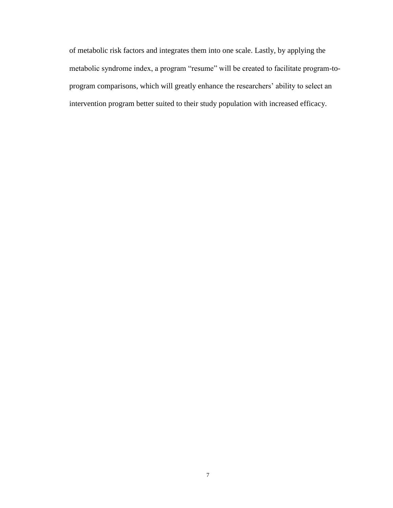of metabolic risk factors and integrates them into one scale. Lastly, by applying the metabolic syndrome index, a program "resume" will be created to facilitate program-toprogram comparisons, which will greatly enhance the researchers' ability to select an intervention program better suited to their study population with increased efficacy.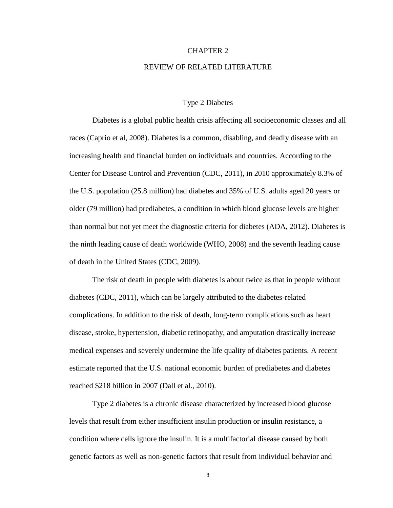#### CHAPTER 2

#### REVIEW OF RELATED LITERATURE

#### Type 2 Diabetes

Diabetes is a global public health crisis affecting all socioeconomic classes and all races (Caprio et al, 2008). Diabetes is a common, disabling, and deadly disease with an increasing health and financial burden on individuals and countries. According to the Center for Disease Control and Prevention (CDC, 2011), in 2010 approximately 8.3% of the U.S. population (25.8 million) had diabetes and 35% of U.S. adults aged 20 years or older (79 million) had prediabetes, a condition in which blood glucose levels are higher than normal but not yet meet the diagnostic criteria for diabetes (ADA, 2012). Diabetes is the ninth leading cause of death worldwide (WHO, 2008) and the seventh leading cause of death in the United States (CDC, 2009).

The risk of death in people with diabetes is about twice as that in people without diabetes (CDC, 2011), which can be largely attributed to the diabetes-related complications. In addition to the risk of death, long-term complications such as heart disease, stroke, hypertension, diabetic retinopathy, and amputation drastically increase medical expenses and severely undermine the life quality of diabetes patients. A recent estimate reported that the U.S. national economic burden of prediabetes and diabetes reached \$218 billion in 2007 (Dall et al., 2010).

Type 2 diabetes is a chronic disease characterized by increased blood glucose levels that result from either insufficient insulin production or insulin resistance, a condition where cells ignore the insulin. It is a multifactorial disease caused by both genetic factors as well as non-genetic factors that result from individual behavior and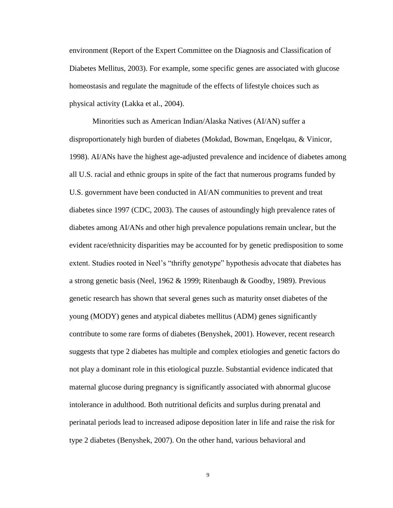environment (Report of the Expert Committee on the Diagnosis and Classification of Diabetes Mellitus, 2003). For example, some specific genes are associated with glucose homeostasis and regulate the magnitude of the effects of lifestyle choices such as physical activity (Lakka et al., 2004).

Minorities such as American Indian/Alaska Natives (AI/AN) suffer a disproportionately high burden of diabetes (Mokdad, Bowman, Enqelqau, & Vinicor, 1998). AI/ANs have the highest age-adjusted prevalence and incidence of diabetes among all U.S. racial and ethnic groups in spite of the fact that numerous programs funded by U.S. government have been conducted in AI/AN communities to prevent and treat diabetes since 1997 (CDC, 2003). The causes of astoundingly high prevalence rates of diabetes among AI/ANs and other high prevalence populations remain unclear, but the evident race/ethnicity disparities may be accounted for by genetic predisposition to some extent. Studies rooted in Neel's "thrifty genotype" hypothesis advocate that diabetes has a strong genetic basis (Neel, 1962 & 1999; Ritenbaugh & Goodby, 1989). Previous genetic research has shown that several genes such as maturity onset diabetes of the young (MODY) genes and atypical diabetes mellitus (ADM) genes significantly contribute to some rare forms of diabetes (Benyshek, 2001). However, recent research suggests that type 2 diabetes has multiple and complex etiologies and genetic factors do not play a dominant role in this etiological puzzle. Substantial evidence indicated that maternal glucose during pregnancy is significantly associated with abnormal glucose intolerance in adulthood. Both nutritional deficits and surplus during prenatal and perinatal periods lead to increased adipose deposition later in life and raise the risk for type 2 diabetes (Benyshek, 2007). On the other hand, various behavioral and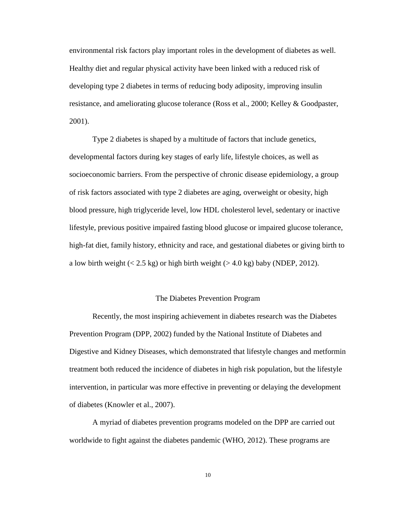environmental risk factors play important roles in the development of diabetes as well. Healthy diet and regular physical activity have been linked with a reduced risk of developing type 2 diabetes in terms of reducing body adiposity, improving insulin resistance, and ameliorating glucose tolerance (Ross et al., 2000; Kelley & Goodpaster, 2001).

Type 2 diabetes is shaped by a multitude of factors that include genetics, developmental factors during key stages of early life, lifestyle choices, as well as socioeconomic barriers. From the perspective of chronic disease epidemiology, a group of risk factors associated with type 2 diabetes are aging, overweight or obesity, high blood pressure, high triglyceride level, low HDL cholesterol level, sedentary or inactive lifestyle, previous positive impaired fasting blood glucose or impaired glucose tolerance, high-fat diet, family history, ethnicity and race, and gestational diabetes or giving birth to a low birth weight  $(< 2.5 \text{ kg})$  or high birth weight  $(> 4.0 \text{ kg})$  baby (NDEP, 2012).

#### The Diabetes Prevention Program

Recently, the most inspiring achievement in diabetes research was the Diabetes Prevention Program (DPP, 2002) funded by the National Institute of Diabetes and Digestive and Kidney Diseases, which demonstrated that lifestyle changes and metformin treatment both reduced the incidence of diabetes in high risk population, but the lifestyle intervention, in particular was more effective in preventing or delaying the development of diabetes (Knowler et al., 2007).

A myriad of diabetes prevention programs modeled on the DPP are carried out worldwide to fight against the diabetes pandemic (WHO, 2012). These programs are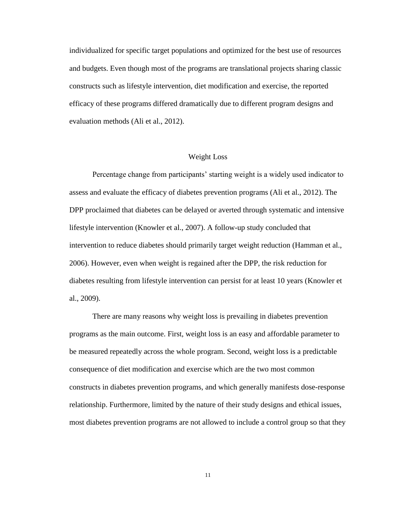individualized for specific target populations and optimized for the best use of resources and budgets. Even though most of the programs are translational projects sharing classic constructs such as lifestyle intervention, diet modification and exercise, the reported efficacy of these programs differed dramatically due to different program designs and evaluation methods (Ali et al., 2012).

#### Weight Loss

Percentage change from participants' starting weight is a widely used indicator to assess and evaluate the efficacy of diabetes prevention programs (Ali et al., 2012). The DPP proclaimed that diabetes can be delayed or averted through systematic and intensive lifestyle intervention (Knowler et al., 2007). A follow-up study concluded that intervention to reduce diabetes should primarily target weight reduction (Hamman et al., 2006). However, even when weight is regained after the DPP, the risk reduction for diabetes resulting from lifestyle intervention can persist for at least 10 years (Knowler et al., 2009).

There are many reasons why weight loss is prevailing in diabetes prevention programs as the main outcome. First, weight loss is an easy and affordable parameter to be measured repeatedly across the whole program. Second, weight loss is a predictable consequence of diet modification and exercise which are the two most common constructs in diabetes prevention programs, and which generally manifests dose-response relationship. Furthermore, limited by the nature of their study designs and ethical issues, most diabetes prevention programs are not allowed to include a control group so that they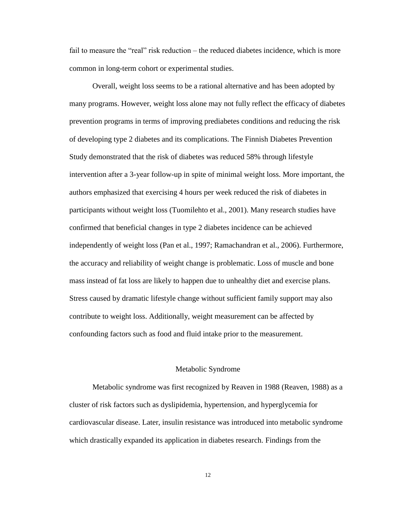fail to measure the "real" risk reduction – the reduced diabetes incidence, which is more common in long-term cohort or experimental studies.

Overall, weight loss seems to be a rational alternative and has been adopted by many programs. However, weight loss alone may not fully reflect the efficacy of diabetes prevention programs in terms of improving prediabetes conditions and reducing the risk of developing type 2 diabetes and its complications. The Finnish Diabetes Prevention Study demonstrated that the risk of diabetes was reduced 58% through lifestyle intervention after a 3-year follow-up in spite of minimal weight loss. More important, the authors emphasized that exercising 4 hours per week reduced the risk of diabetes in participants without weight loss (Tuomilehto et al., 2001). Many research studies have confirmed that beneficial changes in type 2 diabetes incidence can be achieved independently of weight loss (Pan et al., 1997; Ramachandran et al., 2006). Furthermore, the accuracy and reliability of weight change is problematic. Loss of muscle and bone mass instead of fat loss are likely to happen due to unhealthy diet and exercise plans. Stress caused by dramatic lifestyle change without sufficient family support may also contribute to weight loss. Additionally, weight measurement can be affected by confounding factors such as food and fluid intake prior to the measurement.

#### Metabolic Syndrome

Metabolic syndrome was first recognized by Reaven in 1988 (Reaven, 1988) as a cluster of risk factors such as dyslipidemia, hypertension, and hyperglycemia for cardiovascular disease. Later, insulin resistance was introduced into metabolic syndrome which drastically expanded its application in diabetes research. Findings from the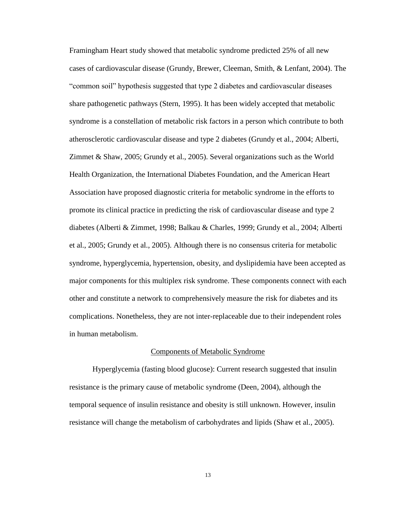Framingham Heart study showed that metabolic syndrome predicted 25% of all new cases of cardiovascular disease (Grundy, Brewer, Cleeman, Smith, & Lenfant, 2004). The "common soil" hypothesis suggested that type 2 diabetes and cardiovascular diseases share pathogenetic pathways (Stern, 1995). It has been widely accepted that metabolic syndrome is a constellation of metabolic risk factors in a person which contribute to both atherosclerotic cardiovascular disease and type 2 diabetes (Grundy et al., 2004; Alberti, Zimmet & Shaw, 2005; Grundy et al., 2005). Several organizations such as the World Health Organization, the International Diabetes Foundation, and the American Heart Association have proposed diagnostic criteria for metabolic syndrome in the efforts to promote its clinical practice in predicting the risk of cardiovascular disease and type 2 diabetes (Alberti & Zimmet, 1998; Balkau & Charles, 1999; Grundy et al., 2004; Alberti et al., 2005; Grundy et al., 2005). Although there is no consensus criteria for metabolic syndrome, hyperglycemia, hypertension, obesity, and dyslipidemia have been accepted as major components for this multiplex risk syndrome. These components connect with each other and constitute a network to comprehensively measure the risk for diabetes and its complications. Nonetheless, they are not inter-replaceable due to their independent roles in human metabolism.

#### Components of Metabolic Syndrome

Hyperglycemia (fasting blood glucose): Current research suggested that insulin resistance is the primary cause of metabolic syndrome (Deen, 2004), although the temporal sequence of insulin resistance and obesity is still unknown. However, insulin resistance will change the metabolism of carbohydrates and lipids (Shaw et al., 2005).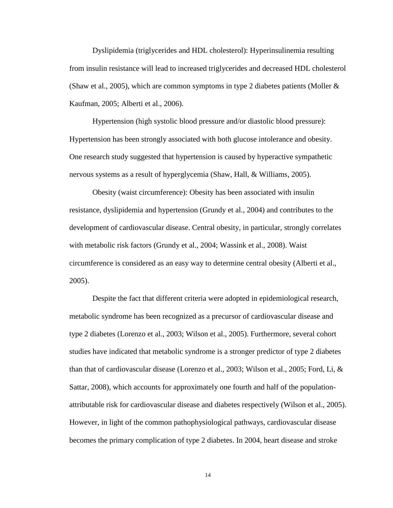Dyslipidemia (triglycerides and HDL cholesterol): Hyperinsulinemia resulting from insulin resistance will lead to increased triglycerides and decreased HDL cholesterol (Shaw et al., 2005), which are common symptoms in type 2 diabetes patients (Moller  $\&$ Kaufman, 2005; Alberti et al., 2006).

Hypertension (high systolic blood pressure and/or diastolic blood pressure): Hypertension has been strongly associated with both glucose intolerance and obesity. One research study suggested that hypertension is caused by hyperactive sympathetic nervous systems as a result of hyperglycemia (Shaw, Hall, & Williams, 2005).

Obesity (waist circumference): Obesity has been associated with insulin resistance, dyslipidemia and hypertension (Grundy et al., 2004) and contributes to the development of cardiovascular disease. Central obesity, in particular, strongly correlates with metabolic risk factors (Grundy et al., 2004; Wassink et al., 2008). Waist circumference is considered as an easy way to determine central obesity (Alberti et al., 2005).

Despite the fact that different criteria were adopted in epidemiological research, metabolic syndrome has been recognized as a precursor of cardiovascular disease and type 2 diabetes (Lorenzo et al., 2003; Wilson et al., 2005). Furthermore, several cohort studies have indicated that metabolic syndrome is a stronger predictor of type 2 diabetes than that of cardiovascular disease (Lorenzo et al., 2003; Wilson et al., 2005; Ford, Li, & Sattar, 2008), which accounts for approximately one fourth and half of the populationattributable risk for cardiovascular disease and diabetes respectively (Wilson et al., 2005). However, in light of the common pathophysiological pathways, cardiovascular disease becomes the primary complication of type 2 diabetes. In 2004, heart disease and stroke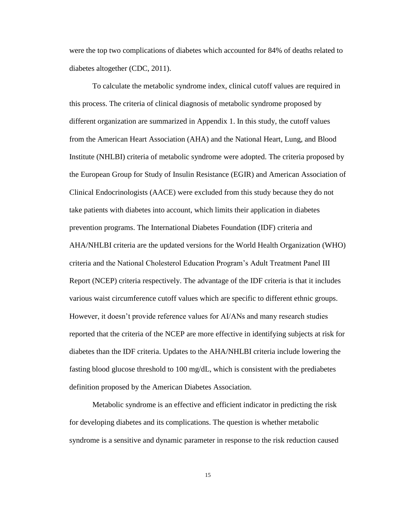were the top two complications of diabetes which accounted for 84% of deaths related to diabetes altogether (CDC, 2011).

To calculate the metabolic syndrome index, clinical cutoff values are required in this process. The criteria of clinical diagnosis of metabolic syndrome proposed by different organization are summarized in Appendix 1. In this study, the cutoff values from the American Heart Association (AHA) and the National Heart, Lung, and Blood Institute (NHLBI) criteria of metabolic syndrome were adopted. The criteria proposed by the European Group for Study of Insulin Resistance (EGIR) and American Association of Clinical Endocrinologists (AACE) were excluded from this study because they do not take patients with diabetes into account, which limits their application in diabetes prevention programs. The International Diabetes Foundation (IDF) criteria and AHA/NHLBI criteria are the updated versions for the World Health Organization (WHO) criteria and the National Cholesterol Education Program's Adult Treatment Panel III Report (NCEP) criteria respectively. The advantage of the IDF criteria is that it includes various waist circumference cutoff values which are specific to different ethnic groups. However, it doesn't provide reference values for AI/ANs and many research studies reported that the criteria of the NCEP are more effective in identifying subjects at risk for diabetes than the IDF criteria. Updates to the AHA/NHLBI criteria include lowering the fasting blood glucose threshold to 100 mg/dL, which is consistent with the prediabetes definition proposed by the American Diabetes Association.

Metabolic syndrome is an effective and efficient indicator in predicting the risk for developing diabetes and its complications. The question is whether metabolic syndrome is a sensitive and dynamic parameter in response to the risk reduction caused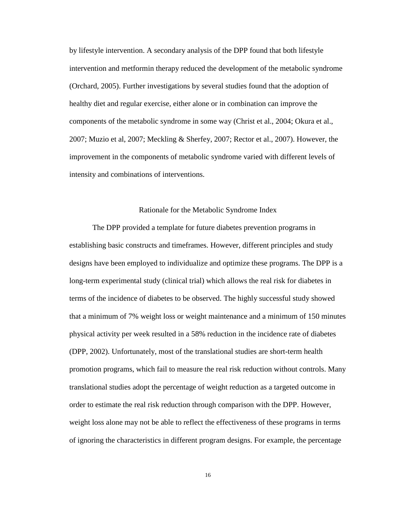by lifestyle intervention. A secondary analysis of the DPP found that both lifestyle intervention and metformin therapy reduced the development of the metabolic syndrome (Orchard, 2005). Further investigations by several studies found that the adoption of healthy diet and regular exercise, either alone or in combination can improve the components of the metabolic syndrome in some way (Christ et al., 2004; Okura et al., 2007; Muzio et al, 2007; Meckling & Sherfey, 2007; Rector et al., 2007). However, the improvement in the components of metabolic syndrome varied with different levels of intensity and combinations of interventions.

#### Rationale for the Metabolic Syndrome Index

The DPP provided a template for future diabetes prevention programs in establishing basic constructs and timeframes. However, different principles and study designs have been employed to individualize and optimize these programs. The DPP is a long-term experimental study (clinical trial) which allows the real risk for diabetes in terms of the incidence of diabetes to be observed. The highly successful study showed that a minimum of 7% weight loss or weight maintenance and a minimum of 150 minutes physical activity per week resulted in a 58% reduction in the incidence rate of diabetes (DPP, 2002). Unfortunately, most of the translational studies are short-term health promotion programs, which fail to measure the real risk reduction without controls. Many translational studies adopt the percentage of weight reduction as a targeted outcome in order to estimate the real risk reduction through comparison with the DPP. However, weight loss alone may not be able to reflect the effectiveness of these programs in terms of ignoring the characteristics in different program designs. For example, the percentage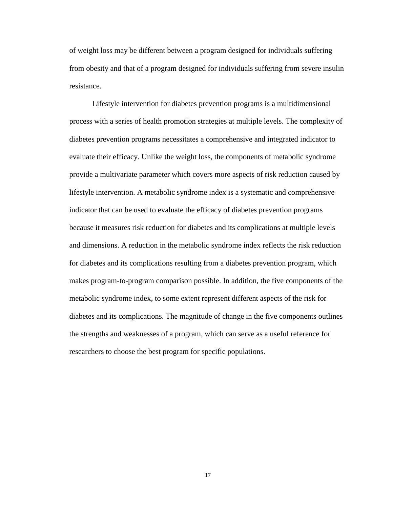of weight loss may be different between a program designed for individuals suffering from obesity and that of a program designed for individuals suffering from severe insulin resistance.

Lifestyle intervention for diabetes prevention programs is a multidimensional process with a series of health promotion strategies at multiple levels. The complexity of diabetes prevention programs necessitates a comprehensive and integrated indicator to evaluate their efficacy. Unlike the weight loss, the components of metabolic syndrome provide a multivariate parameter which covers more aspects of risk reduction caused by lifestyle intervention. A metabolic syndrome index is a systematic and comprehensive indicator that can be used to evaluate the efficacy of diabetes prevention programs because it measures risk reduction for diabetes and its complications at multiple levels and dimensions. A reduction in the metabolic syndrome index reflects the risk reduction for diabetes and its complications resulting from a diabetes prevention program, which makes program-to-program comparison possible. In addition, the five components of the metabolic syndrome index, to some extent represent different aspects of the risk for diabetes and its complications. The magnitude of change in the five components outlines the strengths and weaknesses of a program, which can serve as a useful reference for researchers to choose the best program for specific populations.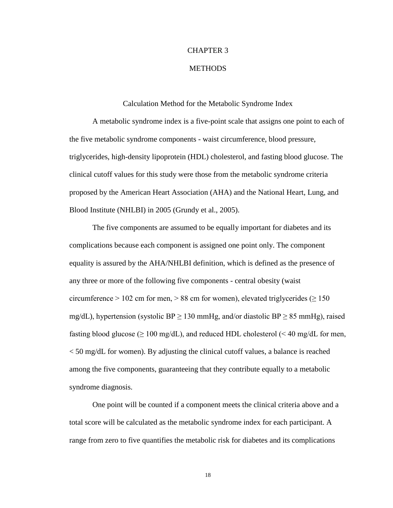#### CHAPTER 3

#### **METHODS**

#### Calculation Method for the Metabolic Syndrome Index

A metabolic syndrome index is a five-point scale that assigns one point to each of the five metabolic syndrome components - waist circumference, blood pressure, triglycerides, high-density lipoprotein (HDL) cholesterol, and fasting blood glucose. The clinical cutoff values for this study were those from the metabolic syndrome criteria proposed by the American Heart Association (AHA) and the National Heart, Lung, and Blood Institute (NHLBI) in 2005 (Grundy et al., 2005).

The five components are assumed to be equally important for diabetes and its complications because each component is assigned one point only. The component equality is assured by the AHA/NHLBI definition, which is defined as the presence of any three or more of the following five components - central obesity (waist circumference > 102 cm for men, > 88 cm for women), elevated triglycerides ( $\geq 150$ mg/dL), hypertension (systolic BP  $\geq$  130 mmHg, and/or diastolic BP  $\geq$  85 mmHg), raised fasting blood glucose ( $\geq 100 \text{ mg/dL}$ ), and reduced HDL cholesterol (< 40 mg/dL for men, < 50 mg/dL for women). By adjusting the clinical cutoff values, a balance is reached among the five components, guaranteeing that they contribute equally to a metabolic syndrome diagnosis.

One point will be counted if a component meets the clinical criteria above and a total score will be calculated as the metabolic syndrome index for each participant. A range from zero to five quantifies the metabolic risk for diabetes and its complications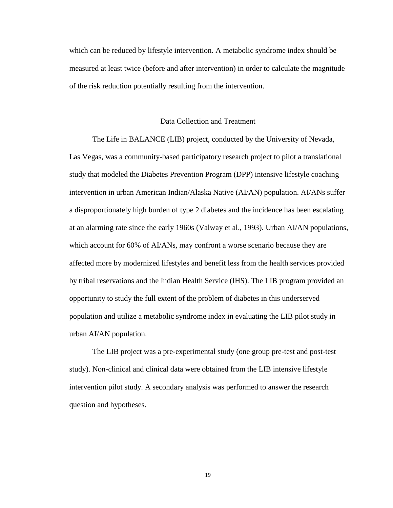which can be reduced by lifestyle intervention. A metabolic syndrome index should be measured at least twice (before and after intervention) in order to calculate the magnitude of the risk reduction potentially resulting from the intervention.

#### Data Collection and Treatment

The Life in BALANCE (LIB) project, conducted by the University of Nevada, Las Vegas, was a community-based participatory research project to pilot a translational study that modeled the Diabetes Prevention Program (DPP) intensive lifestyle coaching intervention in urban American Indian/Alaska Native (AI/AN) population. AI/ANs suffer a disproportionately high burden of type 2 diabetes and the incidence has been escalating at an alarming rate since the early 1960s (Valway et al., 1993). Urban AI/AN populations, which account for 60% of AI/ANs, may confront a worse scenario because they are affected more by modernized lifestyles and benefit less from the health services provided by tribal reservations and the Indian Health Service (IHS). The LIB program provided an opportunity to study the full extent of the problem of diabetes in this underserved population and utilize a metabolic syndrome index in evaluating the LIB pilot study in urban AI/AN population.

The LIB project was a pre-experimental study (one group pre-test and post-test study). Non-clinical and clinical data were obtained from the LIB intensive lifestyle intervention pilot study. A secondary analysis was performed to answer the research question and hypotheses.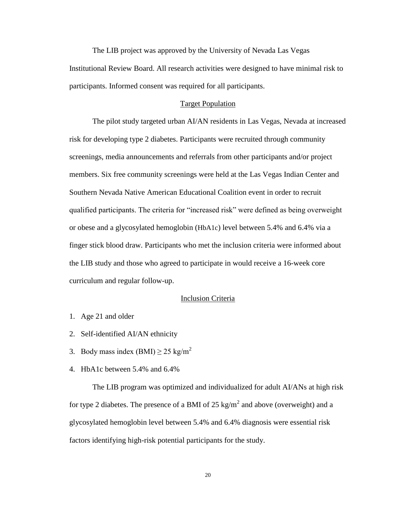The LIB project was approved by the University of Nevada Las Vegas Institutional Review Board. All research activities were designed to have minimal risk to participants. Informed consent was required for all participants.

#### Target Population

The pilot study targeted urban AI/AN residents in Las Vegas, Nevada at increased risk for developing type 2 diabetes. Participants were recruited through community screenings, media announcements and referrals from other participants and/or project members. Six free community screenings were held at the Las Vegas Indian Center and Southern Nevada Native American Educational Coalition event in order to recruit qualified participants. The criteria for "increased risk" were defined as being overweight or obese and a glycosylated hemoglobin (HbA1c) level between 5.4% and 6.4% via a finger stick blood draw. Participants who met the inclusion criteria were informed about the LIB study and those who agreed to participate in would receive a 16-week core curriculum and regular follow-up.

#### Inclusion Criteria

- 1. Age 21 and older
- 2. Self-identified AI/AN ethnicity
- 3. Body mass index (BMI)  $\geq$  25 kg/m<sup>2</sup>
- 4. HbA1c between 5.4% and 6.4%

The LIB program was optimized and individualized for adult AI/ANs at high risk for type 2 diabetes. The presence of a BMI of 25 kg/m<sup>2</sup> and above (overweight) and a glycosylated hemoglobin level between 5.4% and 6.4% diagnosis were essential risk factors identifying high-risk potential participants for the study.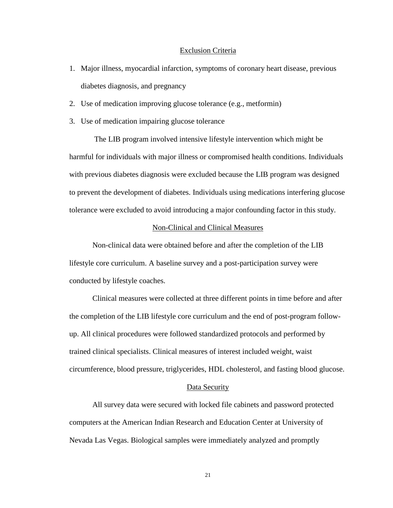#### Exclusion Criteria

- 1. Major illness, myocardial infarction, symptoms of coronary heart disease, previous diabetes diagnosis, and pregnancy
- 2. Use of medication improving glucose tolerance (e.g., metformin)
- 3. Use of medication impairing glucose tolerance

The LIB program involved intensive lifestyle intervention which might be harmful for individuals with major illness or compromised health conditions. Individuals with previous diabetes diagnosis were excluded because the LIB program was designed to prevent the development of diabetes. Individuals using medications interfering glucose tolerance were excluded to avoid introducing a major confounding factor in this study.

#### Non-Clinical and Clinical Measures

Non-clinical data were obtained before and after the completion of the LIB lifestyle core curriculum. A baseline survey and a post-participation survey were conducted by lifestyle coaches.

Clinical measures were collected at three different points in time before and after the completion of the LIB lifestyle core curriculum and the end of post-program followup. All clinical procedures were followed standardized protocols and performed by trained clinical specialists. Clinical measures of interest included weight, waist circumference, blood pressure, triglycerides, HDL cholesterol, and fasting blood glucose.

#### Data Security

All survey data were secured with locked file cabinets and password protected computers at the American Indian Research and Education Center at University of Nevada Las Vegas. Biological samples were immediately analyzed and promptly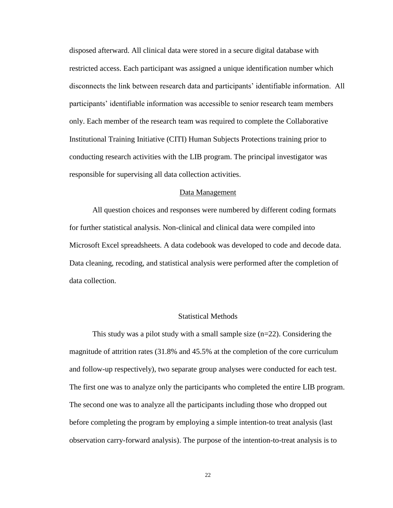disposed afterward. All clinical data were stored in a secure digital database with restricted access. Each participant was assigned a unique identification number which disconnects the link between research data and participants' identifiable information. All participants' identifiable information was accessible to senior research team members only. Each member of the research team was required to complete the Collaborative Institutional Training Initiative (CITI) Human Subjects Protections training prior to conducting research activities with the LIB program. The principal investigator was responsible for supervising all data collection activities.

#### Data Management

All question choices and responses were numbered by different coding formats for further statistical analysis. Non-clinical and clinical data were compiled into Microsoft Excel spreadsheets. A data codebook was developed to code and decode data. Data cleaning, recoding, and statistical analysis were performed after the completion of data collection.

#### Statistical Methods

This study was a pilot study with a small sample size (n=22). Considering the magnitude of attrition rates (31.8% and 45.5% at the completion of the core curriculum and follow-up respectively), two separate group analyses were conducted for each test. The first one was to analyze only the participants who completed the entire LIB program. The second one was to analyze all the participants including those who dropped out before completing the program by employing a simple intention-to treat analysis (last observation carry-forward analysis). The purpose of the intention-to-treat analysis is to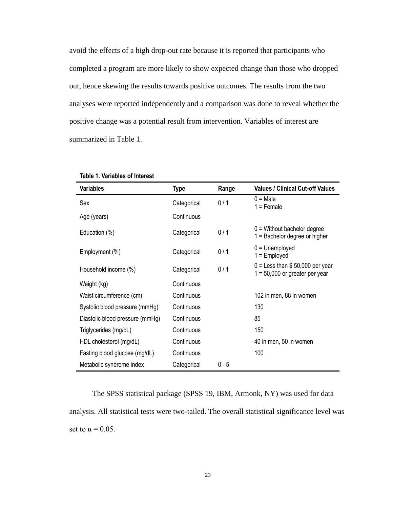avoid the effects of a high drop-out rate because it is reported that participants who completed a program are more likely to show expected change than those who dropped out, hence skewing the results towards positive outcomes. The results from the two analyses were reported independently and a comparison was done to reveal whether the positive change was a potential result from intervention. Variables of interest are summarized in Table 1.

| Variables                       | <b>Type</b> | Range   | <b>Values / Clinical Cut-off Values</b>                               |
|---------------------------------|-------------|---------|-----------------------------------------------------------------------|
| Sex                             | Categorical | 0/1     | $0 = Male$<br>$1 =$ Female                                            |
| Age (years)                     | Continuous  |         |                                                                       |
| Education (%)                   | Categorical | 0/1     | $0 =$ Without bachelor degree<br>$1 =$ Bachelor degree or higher      |
| Employment (%)                  | Categorical | 0/1     | $0 =$ Unemployed<br>$1 =$ Employed                                    |
| Household income (%)            | Categorical | 0/1     | $0 =$ Less than \$50,000 per year<br>$1 = 50,000$ or greater per year |
| Weight (kg)                     | Continuous  |         |                                                                       |
| Waist circumference (cm)        | Continuous  |         | 102 in men, 88 in women                                               |
| Systolic blood pressure (mmHg)  | Continuous  |         | 130                                                                   |
| Diastolic blood pressure (mmHg) | Continuous  |         | 85                                                                    |
| Triglycerides (mg/dL)           | Continuous  |         | 150                                                                   |
| HDL cholesterol (mg/dL)         | Continuous  |         | 40 in men, 50 in women                                                |
| Fasting blood glucose (mg/dL)   | Continuous  |         | 100                                                                   |
| Metabolic syndrome index        | Categorical | $0 - 5$ |                                                                       |

#### **Table 1. Variables of Interest**

The SPSS statistical package (SPSS 19, IBM, Armonk, NY) was used for data analysis. All statistical tests were two-tailed. The overall statistical significance level was set to  $\alpha = 0.05$ .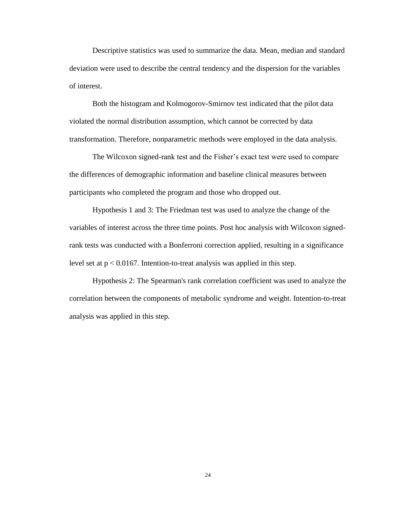Descriptive statistics was used to summarize the data. Mean, median and standard deviation were used to describe the central tendency and the dispersion for the variables of interest.

Both the histogram and Kolmogorov-Smirnov test indicated that the pilot data violated the normal distribution assumption, which cannot be corrected by data transformation. Therefore, nonparametric methods were employed in the data analysis.

The Wilcoxon signed-rank test and the Fisher's exact test were used to compare the differences of demographic information and baseline clinical measures between participants who completed the program and those who dropped out.

Hypothesis 1 and 3: The Friedman test was used to analyze the change of the variables of interest across the three time points. Post hoc analysis with Wilcoxon signedrank tests was conducted with a Bonferroni correction applied, resulting in a significance level set at  $p < 0.0167$ . Intention-to-treat analysis was applied in this step.

Hypothesis 2: The Spearman's rank correlation coefficient was used to analyze the correlation between the components of metabolic syndrome and weight. Intention-to-treat analysis was applied in this step.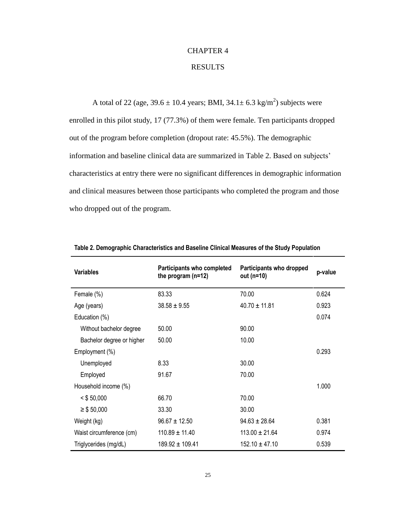# CHAPTER 4

## RESULTS

A total of 22 (age,  $39.6 \pm 10.4$  years; BMI,  $34.1 \pm 6.3$  kg/m<sup>2</sup>) subjects were enrolled in this pilot study, 17 (77.3%) of them were female. Ten participants dropped out of the program before completion (dropout rate: 45.5%). The demographic information and baseline clinical data are summarized in Table 2. Based on subjects' characteristics at entry there were no significant differences in demographic information and clinical measures between those participants who completed the program and those who dropped out of the program.

| <b>Variables</b>          | Participants who completed<br>the program $(n=12)$ | Participants who dropped<br>out (n=10) | p-value |
|---------------------------|----------------------------------------------------|----------------------------------------|---------|
| Female (%)                | 83.33                                              | 70.00                                  | 0.624   |
| Age (years)               | $38.58 \pm 9.55$                                   | $40.70 \pm 11.81$                      | 0.923   |
| Education (%)             |                                                    |                                        | 0.074   |
| Without bachelor degree   | 50.00                                              | 90.00                                  |         |
| Bachelor degree or higher | 50.00                                              | 10.00                                  |         |
| Employment (%)            |                                                    |                                        | 0.293   |
| Unemployed                | 8.33                                               | 30.00                                  |         |
| Employed                  | 91.67                                              | 70.00                                  |         |
| Household income (%)      |                                                    |                                        | 1.000   |
| $<$ \$ 50,000             | 66.70                                              | 70.00                                  |         |
| $\geq$ \$ 50,000          | 33.30                                              | 30.00                                  |         |
| Weight (kg)               | $96.67 \pm 12.50$                                  | $94.63 \pm 28.64$                      | 0.381   |
| Waist circumference (cm)  | $110.89 \pm 11.40$                                 | $113.00 \pm 21.64$                     | 0.974   |
| Triglycerides (mg/dL)     | $189.92 \pm 109.41$                                | $152.10 \pm 47.10$                     | 0.539   |

**Table 2. Demographic Characteristics and Baseline Clinical Measures of the Study Population**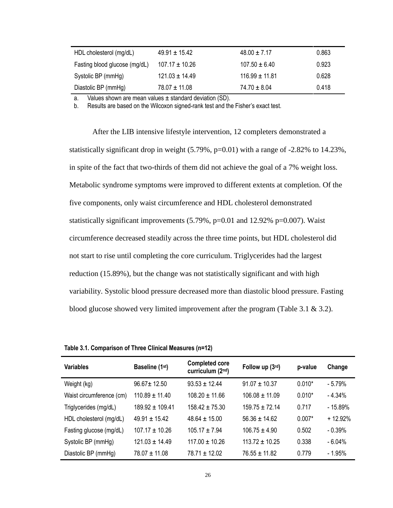| HDL cholesterol (mg/dL)       | $49.91 \pm 15.42$  | $48.00 \pm 7.17$   | 0.863 |
|-------------------------------|--------------------|--------------------|-------|
| Fasting blood glucose (mg/dL) | $107.17 \pm 10.26$ | $107.50 \pm 6.40$  | 0.923 |
| Systolic BP (mmHg)            | $121.03 \pm 14.49$ | $116.99 \pm 11.81$ | 0.628 |
| Diastolic BP (mmHg)           | $78.07 \pm 11.08$  | $74.70 \pm 8.04$   | 0.418 |

a. Values shown are mean values  $\pm$  standard deviation (SD).

b. Results are based on the Wilcoxon signed-rank test and the Fisher's exact test.

After the LIB intensive lifestyle intervention, 12 completers demonstrated a statistically significant drop in weight (5.79%, p=0.01) with a range of -2.82% to 14.23%, in spite of the fact that two-thirds of them did not achieve the goal of a 7% weight loss. Metabolic syndrome symptoms were improved to different extents at completion. Of the five components, only waist circumference and HDL cholesterol demonstrated statistically significant improvements (5.79%, p=0.01 and 12.92% p=0.007). Waist circumference decreased steadily across the three time points, but HDL cholesterol did not start to rise until completing the core curriculum. Triglycerides had the largest reduction (15.89%), but the change was not statistically significant and with high variability. Systolic blood pressure decreased more than diastolic blood pressure. Fasting blood glucose showed very limited improvement after the program (Table 3.1 & 3.2).

**Table 3.1. Comparison of Three Clinical Measures (n=12)**

| <b>Variables</b>         | Baseline (1st)      | <b>Completed core</b><br>curriculum (2nd) | Follow up (3rd)    | p-value  | Change    |
|--------------------------|---------------------|-------------------------------------------|--------------------|----------|-----------|
| Weight (kg)              | $96.67 \pm 12.50$   | $93.53 \pm 12.44$                         | $91.07 \pm 10.37$  | $0.010*$ | $-5.79%$  |
| Waist circumference (cm) | $110.89 \pm 11.40$  | $108.20 \pm 11.66$                        | $106.08 \pm 11.09$ | $0.010*$ | $-4.34%$  |
| Triglycerides (mg/dL)    | $189.92 \pm 109.41$ | $158.42 \pm 75.30$                        | $159.75 \pm 72.14$ | 0.717    | - 15.89%  |
| HDL cholesterol (mg/dL)  | $49.91 \pm 15.42$   | $48.64 \pm 15.00$                         | $56.36 \pm 14.62$  | $0.007*$ | $+12.92%$ |
| Fasting glucose (mg/dL)  | $107.17 \pm 10.26$  | $105.17 \pm 7.94$                         | $106.75 \pm 4.90$  | 0.502    | $-0.39%$  |
| Systolic BP (mmHg)       | $121.03 \pm 14.49$  | $117.00 \pm 10.26$                        | $113.72 \pm 10.25$ | 0.338    | $-6.04%$  |
| Diastolic BP (mmHg)      | $78.07 \pm 11.08$   | $78.71 \pm 12.02$                         | $76.55 \pm 11.82$  | 0.779    | $-1.95%$  |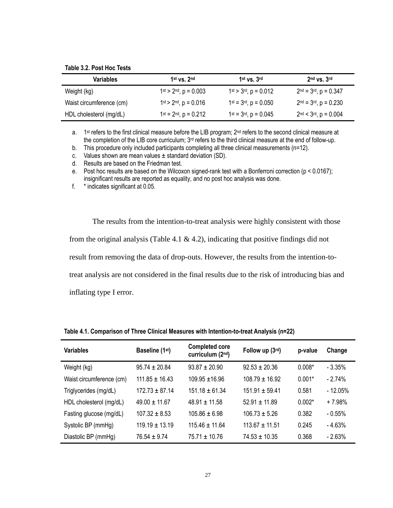**Table 3.2. Post Hoc Tests**

| <b>Variables</b>         | $1st$ vs. $2nd$                 | $1st$ vs. $3rd$                 | $2nd$ vs. $3rd$           |
|--------------------------|---------------------------------|---------------------------------|---------------------------|
| Weight (kg)              | $1st$ > $2nd$ , $p = 0.003$     | $1st > 3rd$ , $p = 0.012$       | $2nd = 3rd$ , $p = 0.347$ |
| Waist circumference (cm) | $1st$ > $2nd$ , $p = 0.016$     | $1^{st} = 3^{rd}$ , $p = 0.050$ | $2nd = 3rd$ , $p = 0.230$ |
| HDL cholesterol (mg/dL)  | $1^{st} = 2^{nd}$ , $p = 0.212$ | $1^{st} = 3^{rd}, p = 0.045$    | $2nd < 3rd$ , $p = 0.004$ |

a. 1<sup>st</sup> refers to the first clinical measure before the LIB program; 2<sup>nd</sup> refers to the second clinical measure at the completion of the LIB core curriculum; 3<sup>rd</sup> refers to the third clinical measure at the end of follow-up.

b. This procedure only included participants completing all three clinical measurements (n=12).

c. Values shown are mean values  $\pm$  standard deviation (SD).

d. Results are based on the Friedman test.

e. Post hoc results are based on the Wilcoxon signed-rank test with a Bonferroni correction (p < 0.0167); insignificant results are reported as equality, and no post hoc analysis was done.

f. \* indicates significant at 0.05.

The results from the intention-to-treat analysis were highly consistent with those from the original analysis (Table 4.1  $\&$  4.2), indicating that positive findings did not result from removing the data of drop-outs. However, the results from the intention-totreat analysis are not considered in the final results due to the risk of introducing bias and inflating type I error.

| <b>Variables</b>         | Baseline (1st)     | <b>Completed core</b><br>curriculum (2nd) | Follow up (3rd)    | p-value  | Change    |
|--------------------------|--------------------|-------------------------------------------|--------------------|----------|-----------|
| Weight (kg)              | $95.74 \pm 20.84$  | $93.87 + 20.90$                           | $92.53 \pm 20.36$  | $0.008*$ | $-3.35%$  |
| Waist circumference (cm) | $111.85 \pm 16.43$ | $109.95 + 16.96$                          | $108.79 \pm 16.92$ | $0.001*$ | $-2.74%$  |
| Triglycerides (mg/dL)    | $172.73 \pm 87.14$ | $151.18 \pm 61.34$                        | $151.91 \pm 59.41$ | 0.581    | $-12.05%$ |
| HDL cholesterol (mg/dL)  | $49.00 \pm 11.67$  | $48.91 \pm 11.58$                         | $52.91 \pm 11.89$  | $0.002*$ | $+7.98%$  |
| Fasting glucose (mg/dL)  | $107.32 \pm 8.53$  | $105.86 \pm 6.98$                         | $106.73 + 5.26$    | 0.382    | $-0.55\%$ |
| Systolic BP (mmHg)       | $119.19 \pm 13.19$ | $115.46 \pm 11.64$                        | $113.67 \pm 11.51$ | 0.245    | $-4.63%$  |
| Diastolic BP (mmHg)      | $76.54 \pm 9.74$   | $75.71 \pm 10.76$                         | $74.53 \pm 10.35$  | 0.368    | $-2.63%$  |

**Table 4.1. Comparison of Three Clinical Measures with Intention-to-treat Analysis (n=22)**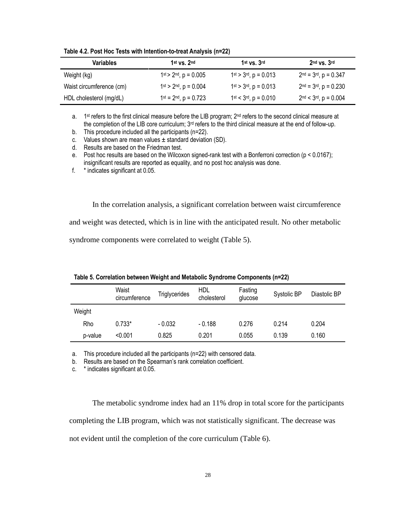| <b>Variables</b>         | 1st $vs. 2nd$                   | $1st$ vs. $3rd$                   | $2nd$ vs. $3rd$           |
|--------------------------|---------------------------------|-----------------------------------|---------------------------|
| Weight (kg)              | $1st$ > $2nd$ , $p = 0.005$     | $1^{st}$ > $3^{rd}$ , $p = 0.013$ | $2nd = 3rd$ , $p = 0.347$ |
| Waist circumference (cm) | $1st > 2nd$ , $p = 0.004$       | $1^{st}$ > $3^{rd}$ , $p = 0.013$ | $2nd = 3rd$ , $p = 0.230$ |
| HDL cholesterol (mg/dL)  | $1^{st} = 2^{nd}$ , $p = 0.723$ | $1st < 3rd$ , p = 0.010           | $2nd < 3rd$ , $p = 0.004$ |

**Table 4.2. Post Hoc Tests with Intention-to-treat Analysis (n=22)**

a. 1<sup>st</sup> refers to the first clinical measure before the LIB program;  $2<sup>nd</sup>$  refers to the second clinical measure at the completion of the LIB core curriculum; 3<sup>rd</sup> refers to the third clinical measure at the end of follow-up.

b. This procedure included all the participants (n=22).

c. Values shown are mean values  $\pm$  standard deviation (SD).

d. Results are based on the Friedman test.

e. Post hoc results are based on the Wilcoxon signed-rank test with a Bonferroni correction (p < 0.0167); insignificant results are reported as equality, and no post hoc analysis was done.

f. \* indicates significant at 0.05.

In the correlation analysis, a significant correlation between waist circumference and weight was detected, which is in line with the anticipated result. No other metabolic syndrome components were correlated to weight (Table 5).

|         | Waist<br>circumference | <b>Triglycerides</b> | HDL<br>cholesterol | Fasting<br>glucose | Systolic BP | Diastolic BP |
|---------|------------------------|----------------------|--------------------|--------------------|-------------|--------------|
| Weight  |                        |                      |                    |                    |             |              |
| Rho     | $0.733*$               | $-0.032$             | $-0.188$           | 0.276              | 0.214       | 0.204        |
| p-value | < 0.001                | 0.825                | 0.201              | 0.055              | 0.139       | 0.160        |

|  |  | Table 5. Correlation between Weight and Metabolic Syndrome Components (n=22) |  |  |  |
|--|--|------------------------------------------------------------------------------|--|--|--|
|--|--|------------------------------------------------------------------------------|--|--|--|

a. This procedure included all the participants (n=22) with censored data.

b. Results are based on the Spearman's rank correlation coefficient.

c. \* indicates significant at 0.05.

The metabolic syndrome index had an 11% drop in total score for the participants completing the LIB program, which was not statistically significant. The decrease was not evident until the completion of the core curriculum (Table 6).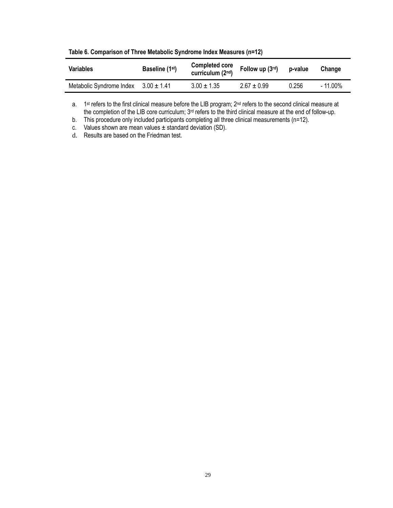| <b>Variables</b>                         | Baseline (1 <sup>st</sup> ) | <b>Completed core</b><br>curriculum (2nd) | Follow up $(3rd)$ | p-value | Change   |
|------------------------------------------|-----------------------------|-------------------------------------------|-------------------|---------|----------|
| Metabolic Syndrome Index $3.00 \pm 1.41$ |                             | $3.00 \pm 1.35$                           | $2.67 \pm 0.99$   | 0.256   | - 11.00% |

**Table 6. Comparison of Three Metabolic Syndrome Index Measures (n=12)**

a. 1<sup>st</sup> refers to the first clinical measure before the LIB program; 2<sup>nd</sup> refers to the second clinical measure at the completion of the LIB core curriculum; 3<sup>rd</sup> refers to the third clinical measure at the end of follow-up.

b. This procedure only included participants completing all three clinical measurements (n=12).

c. Values shown are mean values  $\pm$  standard deviation (SD).

d. Results are based on the Friedman test.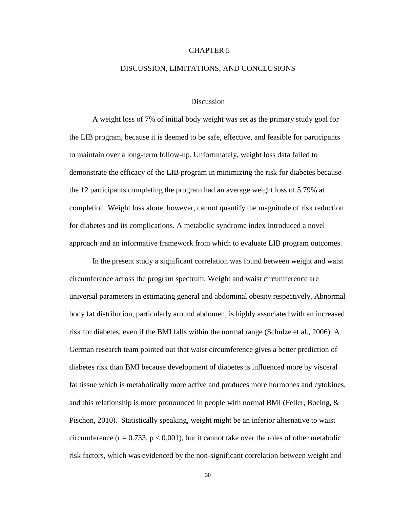#### CHAPTER 5

#### DISCUSSION, LIMITATIONS, AND CONCLUSIONS

#### Discussion

A weight loss of 7% of initial body weight was set as the primary study goal for the LIB program, because it is deemed to be safe, effective, and feasible for participants to maintain over a long-term follow-up. Unfortunately, weight loss data failed to demonstrate the efficacy of the LIB program in minimizing the risk for diabetes because the 12 participants completing the program had an average weight loss of 5.79% at completion. Weight loss alone, however, cannot quantify the magnitude of risk reduction for diabetes and its complications. A metabolic syndrome index introduced a novel [approach](app:ds:view) and an informative framework from which to evaluate LIB program outcomes.

In the present study a significant correlation was found between weight and waist circumference across the program spectrum. Weight and waist circumference are universal parameters in estimating general and abdominal obesity respectively. Abnormal body fat distribution, particularly around abdomen, is highly associated with an increased risk for diabetes, even if the BMI falls within the normal range (Schulze et al., 2006). A German research team pointed out that waist circumference gives a better prediction of diabetes risk than BMI because development of diabetes is influenced more by visceral fat tissue which is metabolically more active and produces more hormones and cytokines, and this relationship is more pronounced in people with normal BMI (Feller, Boeing, & Pischon, 2010). Statistically speaking, weight might be an inferior alternative to waist circumference ( $r = 0.733$ ,  $p < 0.001$ ), but it cannot take over the roles of other metabolic risk factors, which was evidenced by the non-significant correlation between weight and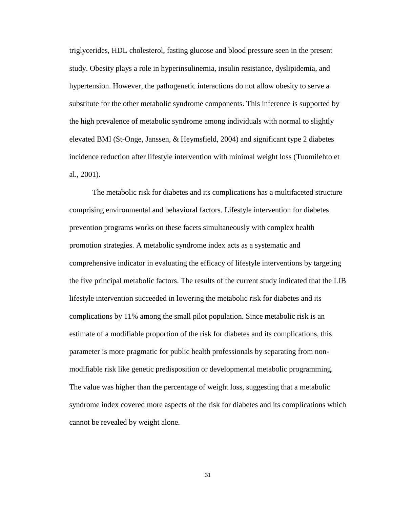triglycerides, HDL cholesterol, fasting glucose and blood pressure seen in the present study. Obesity plays a role in hyperinsulinemia, insulin resistance, dyslipidemia, and hypertension. However, the pathogenetic interactions do not allow obesity to serve a substitute for the other metabolic syndrome components. This inference is supported by the high prevalence of metabolic syndrome among individuals with normal to slightly elevated BMI [\(St-Onge,](http://care.diabetesjournals.org/search?author1=Marie-Pierre+St-Onge&sortspec=date&submit=Submit) Janssen, & Heymsfield, 2004) and significant type 2 diabetes incidence reduction after lifestyle intervention with minimal weight loss (Tuomilehto et al., 2001).

The metabolic risk for diabetes and its complications has a multifaceted structure comprising environmental and behavioral factors. Lifestyle intervention for diabetes prevention programs works on these facets simultaneously with complex health promotion strategies. A metabolic syndrome index acts as a systematic and comprehensive indicator in evaluating the efficacy of lifestyle interventions by targeting the five principal metabolic factors. The results of the current study indicated that the LIB lifestyle intervention succeeded in lowering the metabolic risk for diabetes and its complications by 11% among the small pilot population. Since metabolic risk is an estimate of a modifiable proportion of the risk for diabetes and its complications, this parameter is more pragmatic for public health professionals by separating from nonmodifiable risk like genetic predisposition or developmental metabolic programming. The value was higher than the percentage of weight loss, suggesting that a metabolic syndrome index covered more aspects of the risk for diabetes and its complications which cannot be revealed by weight alone.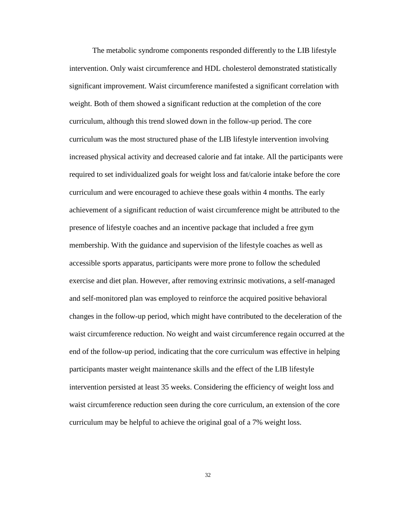The metabolic syndrome components responded differently to the LIB lifestyle intervention. Only waist circumference and HDL cholesterol demonstrated statistically significant improvement. Waist circumference manifested a significant correlation with weight. Both of them showed a significant reduction at the completion of the core curriculum, although this trend slowed down in the follow-up period. The core curriculum was the most structured phase of the LIB lifestyle intervention involving increased physical activity and decreased calorie and fat intake. All the participants were required to set individualized goals for weight loss and fat/calorie intake before the core curriculum and were encouraged to achieve these goals within 4 months. The early achievement of a significant reduction of waist circumference might be attributed to the presence of lifestyle coaches and an incentive package that included a free gym membership. With the guidance and supervision of the lifestyle coaches as well as accessible sports apparatus, participants were more prone to follow the scheduled exercise and diet plan. However, after removing extrinsic motivations, a self-managed and self-monitored plan was employed to reinforce the acquired positive behavioral changes in the follow-up period, which might have contributed to the deceleration of the waist circumference reduction. No weight and waist circumference regain occurred at the end of the follow-up period, indicating that the core curriculum was effective in helping participants master weight maintenance skills and the effect of the LIB lifestyle intervention persisted at least 35 weeks. Considering the efficiency of weight loss and waist circumference reduction seen during the core curriculum, an extension of the core curriculum may be helpful to achieve the original goal of a 7% weight loss.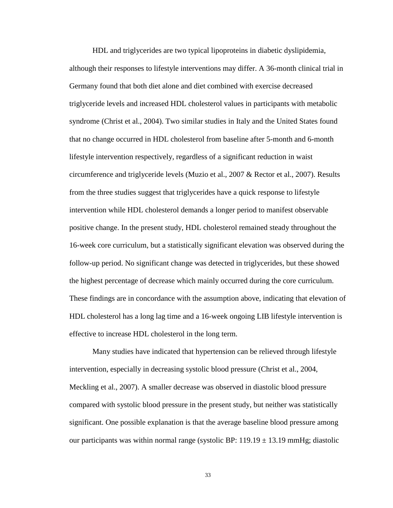HDL and triglycerides are two typical lipoproteins in diabetic dyslipidemia, although their responses to lifestyle interventions may differ. A 36-month clinical trial in Germany found that both diet alone and diet combined with exercise decreased triglyceride levels and increased HDL cholesterol values in participants with metabolic syndrome (Christ et al., 2004). Two similar studies in Italy and the United States found that no change occurred in HDL cholesterol from baseline after 5-month and 6-month lifestyle intervention respectively, regardless of a significant reduction in waist circumference and triglyceride levels (Muzio et al., 2007 & Rector et al., 2007). Results from the three studies suggest that triglycerides have a quick response to lifestyle intervention while HDL cholesterol demands a longer period to manifest observable positive change. In the present study, HDL cholesterol remained steady throughout the 16-week core curriculum, but a statistically significant elevation was observed during the follow-up period. No significant change was detected in triglycerides, but these showed the highest percentage of decrease which mainly occurred during the core curriculum. These findings are in concordance with the assumption above, indicating that elevation of HDL cholesterol has a long lag time and a 16-week ongoing LIB lifestyle intervention is effective to increase HDL cholesterol in the long term.

Many studies have indicated that hypertension can be relieved through lifestyle intervention, especially in decreasing systolic blood pressure (Christ et al., 2004, Meckling et al., 2007). A smaller decrease was observed in diastolic blood pressure compared with systolic blood pressure in the present study, but neither was statistically significant. One possible explanation is that the average baseline blood pressure among our participants was within normal range (systolic BP:  $119.19 \pm 13.19$  mmHg; diastolic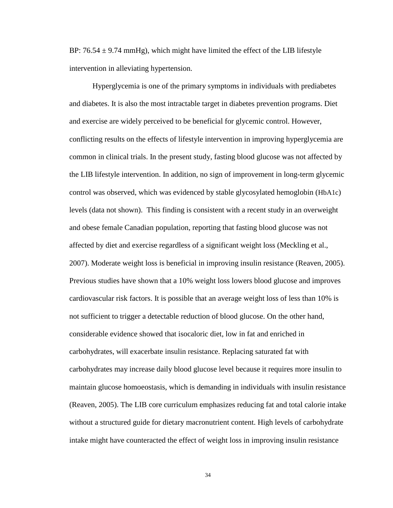BP:  $76.54 \pm 9.74$  mmHg), which might have limited the effect of the LIB lifestyle intervention in alleviating hypertension.

Hyperglycemia is one of the primary symptoms in individuals with prediabetes and diabetes. It is also the most intractable target in diabetes prevention programs. Diet and exercise are widely perceived to be beneficial for glycemic control. However, conflicting results on the effects of lifestyle intervention in improving hyperglycemia are common in clinical trials. In the present study, fasting blood glucose was not affected by the LIB lifestyle intervention. In addition, no sign of improvement in long-term glycemic control was observed, which was evidenced by stable glycosylated hemoglobin (HbA1c) levels (data not shown). This finding is consistent with a recent study in an overweight and obese female Canadian population, reporting that fasting blood glucose was not affected by diet and exercise regardless of a significant weight loss (Meckling et al., 2007). Moderate weight loss is beneficial in improving insulin resistance (Reaven, 2005). Previous studies have shown that a 10% weight loss lowers blood glucose and improves cardiovascular risk factors. It is possible that an average weight loss of less than 10% is not sufficient to trigger a detectable reduction of blood glucose. On the other hand, considerable evidence showed that isocaloric diet, low in fat and enriched in carbohydrates, will exacerbate insulin resistance. Replacing saturated fat with carbohydrates may increase daily blood glucose level because it requires more insulin to maintain glucose homoeostasis, which is demanding in individuals with insulin resistance (Reaven, 2005). The LIB core curriculum emphasizes reducing fat and total calorie intake without a structured guide for dietary macronutrient content. High levels of carbohydrate intake might have counteracted the effect of weight loss in improving insulin resistance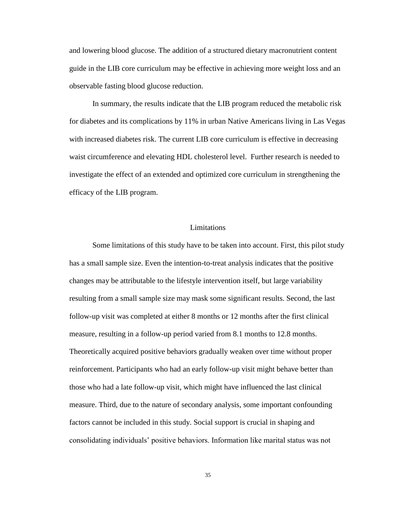and lowering blood glucose. The addition of a structured dietary macronutrient content guide in the LIB core curriculum may be effective in achieving more weight loss and an observable fasting blood glucose reduction.

In summary, the results indicate that the LIB program reduced the metabolic risk for diabetes and its complications by 11% in urban Native Americans living in Las Vegas with increased diabetes risk. The current LIB core curriculum is effective in decreasing waist circumference and elevating HDL cholesterol level. Further research is needed to investigate the effect of an extended and optimized core curriculum in strengthening the efficacy of the LIB program.

#### Limitations

Some limitations of this study have to be taken into account. First, this pilot study has a small sample size. Even the intention-to-treat analysis indicates that the positive changes may be attributable to the lifestyle intervention itself, but large variability resulting from a small sample size may mask some significant results. Second, the last follow-up visit was completed at either 8 months or 12 months after the first clinical measure, resulting in a follow-up period varied from 8.1 months to 12.8 months. Theoretically acquired positive behaviors gradually weaken over time without proper reinforcement. Participants who had an early follow-up visit might behave better than those who had a late follow-up visit, which might have influenced the last clinical measure. Third, due to the nature of secondary analysis, some important confounding factors cannot be included in this study. Social support is crucial in shaping and consolidating individuals' positive behaviors. Information like marital status was not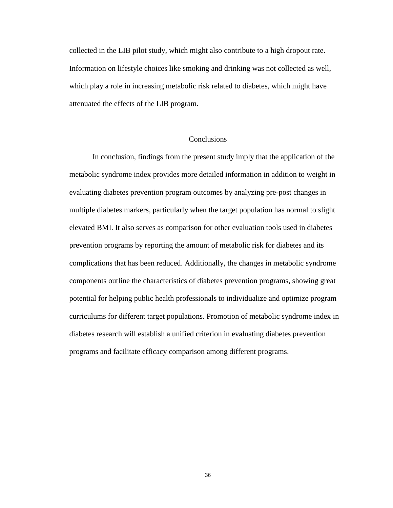collected in the LIB pilot study, which might also contribute to a high dropout rate. Information on lifestyle choices like smoking and drinking was not collected as well, which play a role in increasing metabolic risk related to diabetes, which might have attenuated the effects of the LIB program.

#### Conclusions

In conclusion, findings from the present study imply that the application of the metabolic syndrome index provides more detailed information in addition to weight in evaluating diabetes prevention program outcomes by analyzing pre-post changes in multiple diabetes markers, particularly when the target population has normal to slight elevated BMI. It also serves as comparison for other evaluation tools used in diabetes prevention programs by reporting the amount of metabolic risk for diabetes and its complications that has been reduced. Additionally, the changes in metabolic syndrome components outline the characteristics of diabetes prevention programs, showing great potential for helping public health professionals to individualize and optimize program curriculums for different target populations. Promotion of metabolic syndrome index in diabetes research will establish a unified criterion in evaluating diabetes prevention programs and facilitate efficacy comparison among different programs.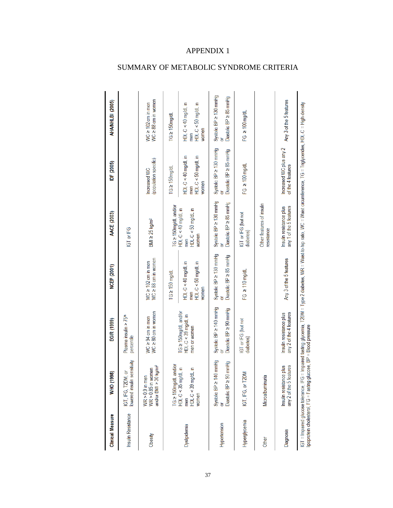| <b>Clinical Measure</b>                   | WHO (1998)                                                                     | EGIR (1999)                                                 | <b>NCEP (2001)</b>                                                                                                                                                                      | AACE (2003)                                                     | IDF (2005)                                                  | AHA/NHLBI (2005)                                         |
|-------------------------------------------|--------------------------------------------------------------------------------|-------------------------------------------------------------|-----------------------------------------------------------------------------------------------------------------------------------------------------------------------------------------|-----------------------------------------------------------------|-------------------------------------------------------------|----------------------------------------------------------|
| Insulin Resistance                        | lowered insulin sensitivity<br>៑<br>IGT, IFG, T2DM,                            | Plasma insulin > 75 <sup>th</sup><br>percentile             |                                                                                                                                                                                         | IGT or IFG                                                      |                                                             |                                                          |
| Obesity                                   | and/or BMI > 30 kg/m <sup>2</sup><br>$WR$ > 0.85 in women<br>WR $> 0.9$ in men | $WC \ge 80$ cm in women<br>$WC \ge 94$ cm in men            | $WC \ge 88$ cm in women<br>$WC \ge 102$ cm in men                                                                                                                                       | $BMl \ge 25$ kg/m <sup>2</sup>                                  | (population specific)<br>Increased WC                       | $WC \ge 88$ cm in women<br>WC $\geq 102$ cm in men       |
|                                           | TG ≥ 150mg/dL and/or                                                           |                                                             | $TG \ge 150$ mg/dL                                                                                                                                                                      | TG ≥ 150mg/dL and/or                                            | $TG \geq 150$ mg/dL                                         | $T G \geq 150$ mg/dL                                     |
| Dyslipidemia                              | HDL-C < 35 mg/dL in<br>HDL-C < 39 mg/dL in<br>women<br>men                     | TG ≥ 150mg/dL and/or<br>HDL-C < 39 mg/dL in<br>men or women | HDL-C <40 mg/dL in<br>HDL-C <50 mg/dL in<br>women<br>men                                                                                                                                | $HDL-C < 40$ mg/dL in<br>$HDL-C < 50$ mg/dL in<br>wornen<br>men | $HDL-C < 40$ mg/dL in<br>HDL-C <50 mg/dL in<br>women<br>men | HDL-C <40 mg/dL in<br>HDL-C <50 mg/dL in<br>women<br>men |
| Hypertension                              | ) mmHg<br>nmHg<br>Systolic BP $\geq$ 140<br>Diastolic BP ≥ 90<br>៦             | Systolic BP $\geq$ 140 mmHg<br>Diastolic BP ≥ 90 mmHg       | Systolic BP ≥ 130 mmHg<br>Diastolic BP ≥ 85 mmHg<br>៦                                                                                                                                   | Systolic BP ≥ 130 mmHg<br>Diastolic BP ≥ 85 mmHg                | Systolic BP ≥ 130 mmHg<br>Diastolic BP ≥ 85 mmHg            | Systolic BP ≥ 130 mmHg<br>Diastolic BP ≥ 85 mmHg         |
| Hyperglycemia                             | IGT, IFG, or T2DM                                                              | IGT or IFG (but not<br>diabetes)                            | $FG \geq 110 \text{ mg/dl}$                                                                                                                                                             | IGT or IFG (but not<br>diabetes)                                | $FG \geq 100 \text{ mg/dl}$                                 | $FG \geq 100 \text{ mg/dl}$                              |
| Other                                     | Microalbuminuria                                                               |                                                             |                                                                                                                                                                                         | Other features of insulin<br>resistance                         |                                                             |                                                          |
| <b>Diagnosis</b>                          | any 2 of the 5 features<br>Insulin resistance plus                             | any 2 of the 4 features<br>Insulin resistance plus          | Any 3 of the 5 features                                                                                                                                                                 | any 1 of the 5 features<br>Insulin resistance plus              | Increased WC plus any 2<br>of the 4 features                | Any 3 of the 5 features                                  |
| lipoprotein cholesterol, FG = Fasting glu |                                                                                | cose, BP = Blood pressure                                   | IGT = Impaired glucose tolerance, IFG = Impaired fasting glycemia, T2DM = Type 2 diabetes, WR = Waist to + Ny ratio, WC = Waist circumference, TG = Triglycerides, HDL-C = High-density |                                                                 |                                                             |                                                          |

# SUMMARY OF METABOLIC SYNDROME CRITERIA

APPENDIX 1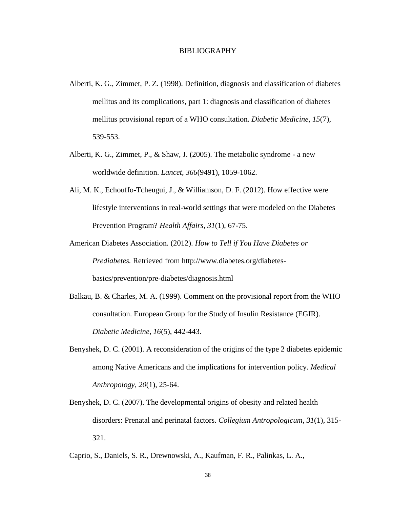#### BIBLIOGRAPHY

- Alberti, K. G., Zimmet, P. Z. (1998). Definition, diagnosis and classification of diabetes mellitus and its complications, part 1: diagnosis and classification of diabetes mellitus provisional report of a WHO consultation. *Diabetic Medicine*, *15*(7), 539-553.
- Alberti, K. G., Zimmet, P., & Shaw, J. (2005). The metabolic syndrome a new worldwide definition. *Lancet*, *366*(9491), 1059-1062.
- Ali, M. K., Echouffo-Tcheugui, J., & Williamson, D. F. (2012). How effective were lifestyle interventions in real-world settings that were modeled on the Diabetes Prevention Program? *Health Affairs*, *31*(1), 67-75.
- American Diabetes Association. (2012). *How to Tell if You Have Diabetes or Prediabetes.* Retrieved from http://www.diabetes.org/diabetesbasics/prevention/pre-diabetes/diagnosis.html
- Balkau, B. & Charles, M. A. (1999). Comment on the provisional report from the WHO consultation. European Group for the Study of Insulin Resistance (EGIR). *Diabetic Medicine*, *16*(5), 442-443.
- Benyshek, D. C. (2001). A reconsideration of the origins of the type 2 diabetes epidemic among Native Americans and the implications for intervention policy. *Medical Anthropology*, *20*(1), 25-64.
- Benyshek, D. C. (2007). The developmental origins of obesity and related health disorders: Prenatal and perinatal factors. *Collegium Antropologicum*, *31*(1), 315- 321.

Caprio, S., Daniels, S. R., Drewnowski, A., Kaufman, F. R., Palinkas, L. A.,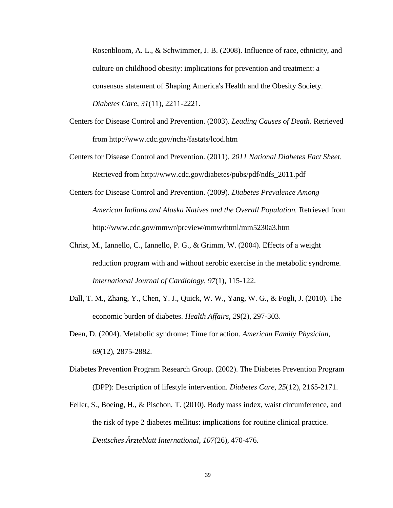Rosenbloom, A. L., & Schwimmer, J. B. (2008). Influence of race, ethnicity, and culture on childhood obesity: implications for prevention and treatment: a consensus statement of Shaping America's Health and the Obesity Society. *Diabetes Care*, *31*(11), 2211-2221.

- Centers for Disease Control and Prevention. (2003). *Leading Causes of Death*. Retrieved from http://www.cdc.gov/nchs/fastats/lcod.htm
- Centers for Disease Control and Prevention. (2011). *2011 National Diabetes Fact Sheet*. Retrieved from http://www.cdc.gov/diabetes/pubs/pdf/ndfs\_2011.pdf
- Centers for Disease Control and Prevention. (2009). *Diabetes Prevalence Among American Indians and Alaska Natives and the Overall Population.* Retrieved from http://www.cdc.gov/mmwr/preview/mmwrhtml/mm5230a3.htm
- Christ, M., Iannello, C., Iannello, P. G., & Grimm, W. (2004). Effects of a weight reduction program with and without aerobic exercise in the metabolic syndrome. *International Journal of Cardiology*, *97*(1), 115-122.
- Dall, T. M., Zhang, Y., Chen, Y. J., Quick, W. W., Yang, W. G., & Fogli, J. (2010). The economic burden of diabetes. *Health Affairs*, *29*(2), 297-303.
- Deen, D. (2004). Metabolic syndrome: Time for action. *American Family Physician*, *69*(12), 2875-2882.
- [Diabetes Prevention Program Research Group.](http://www.ncbi.nlm.nih.gov/pubmed?term=%22Diabetes%20Prevention%20Program%20%28DPP%29%20Research%20Group%22%5BCorporate%20Author%5D) (2002). The Diabetes Prevention Program (DPP): Description of lifestyle intervention. *Diabetes Care*, *25*(12), 2165-2171.
- Feller, S., Boeing, H., & Pischon, T. (2010). Body mass index, waist circumference, and the risk of type 2 diabetes mellitus: implications for routine clinical practice. *Deutsches Ärzteblatt International*, *107*(26), 470-476.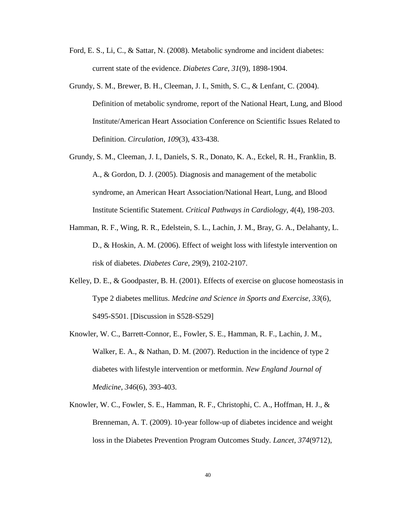- Ford, E. S., Li, C., & Sattar, N. (2008). Metabolic syndrome and incident diabetes: current state of the evidence. *Diabetes Care*, *31*(9), 1898-1904.
- Grundy, S. M., Brewer, B. H., Cleeman, J. I., Smith, S. C., & Lenfant, C. (2004). Definition of metabolic syndrome, report of the National Heart, Lung, and Blood Institute/American Heart Association Conference on Scientific Issues Related to Definition. *Circulation*, *109*(3), 433-438.
- Grundy, S. M., Cleeman, J. I., Daniels, S. R., Donato, K. A., Eckel, R. H., Franklin, B. A., & Gordon, D. J. (2005). Diagnosis and management of the metabolic syndrome, an American Heart Association/National Heart, Lung, and Blood Institute Scientific Statement. *Critical Pathways in Cardiology*, *4*(4), 198-203.
- Hamman, R. F., Wing, R. R., Edelstein, S. L., Lachin, J. M., Bray, G. A., Delahanty, L. D., & Hoskin, A. M. (2006). Effect of weight loss with lifestyle intervention on risk of diabetes. *Diabetes Care*, *29*(9), 2102-2107.
- Kelley, D. E., & Goodpaster, B. H. (2001). Effects of exercise on glucose homeostasis in Type 2 diabetes mellitus. *Medcine and Science in Sports and Exercise, 33*(6), S495-S501. [Discussion in S528-S529]
- Knowler, W. C., Barrett-Connor, E., Fowler, S. E., Hamman, R. F., Lachin, J. M., Walker, E. A., & Nathan, D. M. (2007). Reduction in the incidence of type 2 diabetes with lifestyle intervention or metformin. *New England Journal of Medicine*, *346*(6), 393-403.
- Knowler, W. C., Fowler, S. E., Hamman, R. F., Christophi, C. A., Hoffman, H. J., & Brenneman, A. T. (2009). 10-year follow-up of diabetes incidence and weight loss in the Diabetes Prevention Program Outcomes Study. *Lancet*, *374*(9712),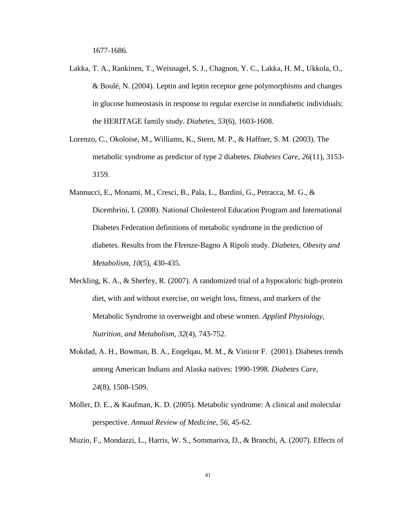1677-1686.

- Lakka, T. A., Rankinen, T., Weisnagel, S. J., Chagnon, Y. C., Lakka, H. M., Ukkola, O., & Boulé, N. (2004). Leptin and leptin receptor gene polymorphisms and changes in glucose homeostasis in response to regular exercise in nondiabetic individuals: the HERITAGE family study. *Diabetes*, *53*(6), 1603-1608.
- Lorenzo, C., Okoloise, M., Williams, K., Stern, M. P., & Haffner, S. M. (2003). The metabolic syndrome as predictor of type 2 diabetes. *Diabetes Care*, *26*(11), 3153- 3159.
- Mannucci, E., Monami, M., Cresci, B., Pala, L., Bardini, G., Petracca, M. G., & Dicembrini, I. (2008). National Cholesterol Education Program and International Diabetes Federation definitions of metabolic syndrome in the prediction of diabetes. Results from the FIrenze-Bagno A Ripoli study. *Diabetes, Obesity and Metabolism*, *10*(5), 430-435.
- Meckling, K. A., & Sherfey, R. (2007). A randomized trial of a hypocaloric high-protein diet, with and without exercise, on weight loss, fitness, and markers of the Metabolic Syndrome in overweight and obese women. *Applied Physiology, Nutrition, and Metabolism*, *32*(4), 743-752.
- Mokdad, A. H., Bowman, B. A., Enqelqau, M. M., & Vinicor F. (2001). Diabetes trends among American Indians and Alaska natives: 1990-1998. *Diabetes Care*, *24*(8), 1508-1509.
- Moller, D. E., & Kaufman, K. D. (2005). Metabolic syndrome: A clinical and molecular perspective. *Annual Review of Medicine*, *56*, 45-62.

Muzio, F., Mondazzi, L., Harris, W. S., Sommariva, D., & Branchi, A. (2007). Effects of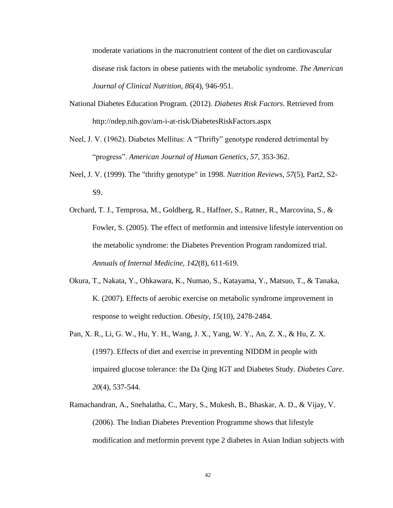moderate variations in the macronutrient content of the diet on cardiovascular disease risk factors in obese patients with the metabolic syndrome. *The American Journal of Clinical Nutrition*, *86*(4), 946-951.

- National Diabetes Education Program. (2012). *Diabetes Risk Factors.* Retrieved from http://ndep.nih.gov/am-i-at-risk/DiabetesRiskFactors.aspx
- Neel, J. V. (1962). Diabetes Mellitus: A "Thrifty" genotype rendered detrimental by "progress". *American Journal of Human Genetics, 57*, 353-362.
- Neel, J. V. (1999). The "thrifty genotype" in 1998. *Nutrition Reviews, 57*(5), Part2, S2- S9.
- Orchard, T. J., Temprosa, M., Goldberg, R., Haffner, S., Ratner, R., Marcovina, S., & Fowler, S. (2005). The effect of metformin and intensive lifestyle intervention on the metabolic syndrome: the Diabetes Prevention Program randomized trial. *Annuals of Internal Medicine*, *142*(8), 611-619.
- Okura, T., Nakata, Y., Ohkawara, K., Numao, S., Katayama, Y., Matsuo, T., & Tanaka, K. (2007). Effects of aerobic exercise on metabolic syndrome improvement in response to weight reduction. *Obesity*, *15*(10), 2478-2484.
- Pan, X. R., Li, G. W., Hu, Y. H., Wang, J. X., Yang, W. Y., An, Z. X., & Hu, Z. X. (1997). Effects of diet and exercise in preventing NIDDM in people with impaired glucose tolerance: the Da Qing IGT and Diabetes Study. *Diabetes Care*. *20*(4), 537-544.
- Ramachandran, A., Snehalatha, C., Mary, S., Mukesh, B., Bhaskar, A. D., & Vijay, V. (2006). The Indian Diabetes Prevention Programme shows that lifestyle modification and metformin prevent type 2 diabetes in Asian Indian subjects with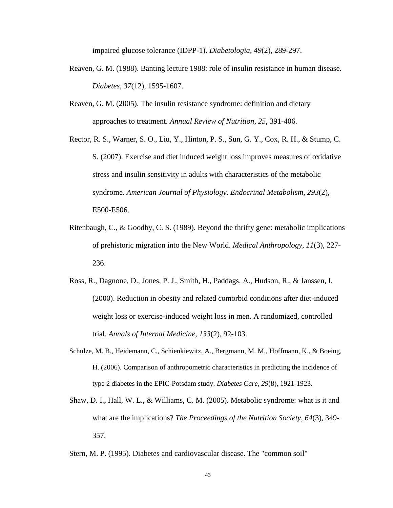impaired glucose tolerance (IDPP-1). *Diabetologia*, *49*(2), 289-297.

- Reaven, G. M. (1988). Banting lecture 1988: role of insulin resistance in human disease. *Diabetes*, *37*(12), 1595-1607.
- Reaven, G. M. (2005). The insulin resistance syndrome: definition and dietary approaches to treatment. *Annual Review of Nutrition*, *25*, 391-406.
- Rector, R. S., Warner, S. O., Liu, Y., Hinton, P. S., Sun, G. Y., Cox, R. H., & Stump, C. S. (2007). Exercise and diet induced weight loss improves measures of oxidative stress and insulin sensitivity in adults with characteristics of the metabolic syndrome. *American Journal of Physiology. Endocrinal Metabolism*, *293*(2), E500-E506.
- [Ritenbaugh, C.](http://www.ncbi.nlm.nih.gov/pubmed?term=Ritenbaugh%20C%5BAuthor%5D&cauthor=true&cauthor_uid=2770465), & [Goodby, C. S.](http://www.ncbi.nlm.nih.gov/pubmed?term=Goodby%20CS%5BAuthor%5D&cauthor=true&cauthor_uid=2770465) (1989). Beyond the thrifty gene: metabolic implications of prehistoric migration into the New World. *Medical Anthropology, 11*(3), 227- 236.
- Ross, R., Dagnone, D., Jones, P. J., Smith, H., Paddags, A., Hudson, R., & Janssen, I. (2000). Reduction in obesity and related comorbid conditions after diet-induced weight loss or exercise-induced weight loss in men. A randomized, controlled trial. *Annals of Internal Medicine*, *133*(2), 92-103.
- Schulze, M. B., Heidemann, C., Schienkiewitz, A., Bergmann, M. M., Hoffmann, K., & Boeing, H. (2006). Comparison of anthropometric characteristics in predicting the incidence of type 2 diabetes in the EPIC-Potsdam study. *Diabetes Care*, *29*(8), 1921-1923.
- Shaw, D. I., Hall, W. L., & Williams, C. M. (2005). Metabolic syndrome: what is it and what are the implications? *The Proceedings of the Nutrition Society*, *64*(3), 349- 357.
- Stern, M. P. (1995). Diabetes and cardiovascular disease. The "common soil"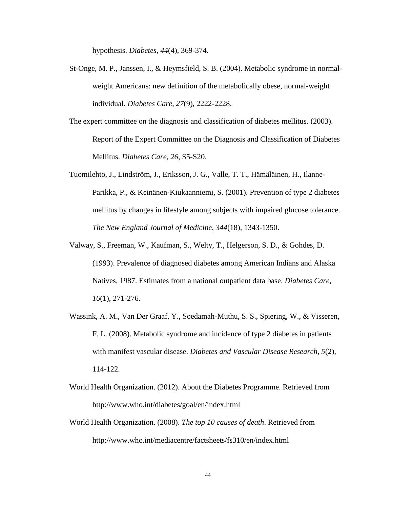hypothesis. *Diabetes*, *44*(4), 369-374.

- St-Onge, M. P., Janssen, I., & Heymsfield, S. B. (2004). Metabolic syndrome in normalweight Americans: new definition of the metabolically obese, normal-weight individual. *Diabetes Care*, *27*(9), 2222-2228.
- The expert committee on the diagnosis and classification of diabetes mellitus. (2003). Report of the Expert Committee on the Diagnosis and Classification of Diabetes Mellitus. *Diabetes Care*, *26*, S5-S20.
- Tuomilehto, J., Lindström, J., Eriksson, J. G., Valle, T. T., Hämäläinen, H., Ilanne-Parikka, P., & Keinänen-Kiukaanniemi, S. (2001). Prevention of type 2 diabetes mellitus by changes in lifestyle among subjects with impaired glucose tolerance. *The New England Journal of Medicine*, *344*(18), 1343-1350.
- Valway, S., Freeman, W., Kaufman, S., Welty, T., Helgerson, S. D., & Gohdes, D. (1993). Prevalence of diagnosed diabetes among American Indians and Alaska Natives, 1987. Estimates from a national outpatient data base. *Diabetes Care*, *16*(1), 271-276.
- Wassink, A. M., Van Der Graaf, Y., Soedamah-Muthu, S. S., Spiering, W., & Visseren, F. L. (2008). Metabolic syndrome and incidence of type 2 diabetes in patients with manifest vascular disease. *Diabetes and Vascular Disease Research*, *5*(2), 114-122.
- World Health Organization. (2012). About the Diabetes Programme. Retrieved from http://www.who.int/diabetes/goal/en/index.html
- World Health Organization. (2008). *The top 10 causes of death*. Retrieved from http://www.who.int/mediacentre/factsheets/fs310/en/index.html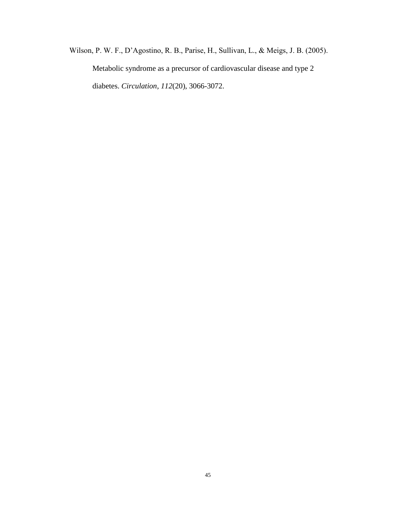Wilson, P. W. F., D'Agostino, R. B., Parise, H., Sullivan, L., & Meigs, J. B. (2005). Metabolic syndrome as a precursor of cardiovascular disease and type 2 diabetes. *Circulation*, *112*(20), 3066-3072.